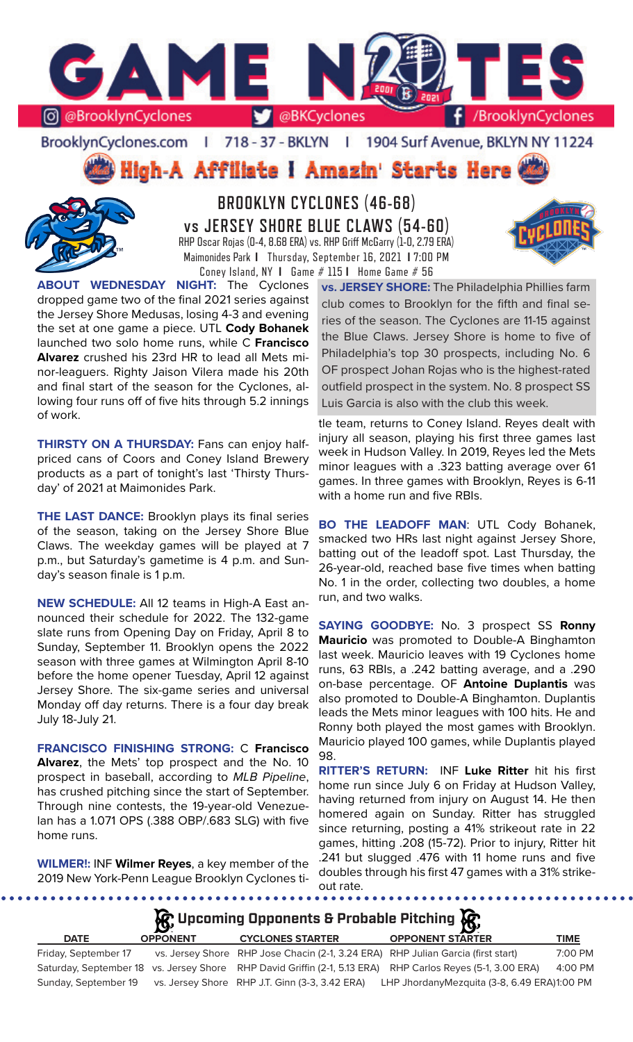

### BrooklynCyclones.com | 718 - 37 - BKLYN | 1904 Surf Avenue, BKLYN NY 11224

**High-A Affiliate I Amazin' Starts Here** 



**BROOKLYN CYCLONES (46-68) vs JERSEY SHORE BLUE CLAWS (54-60)** RHP Oscar Rojas (0-4, 8.68 ERA) vs. RHP Griff McGarry (1-0, 2.79 ERA) Maimonides Park **I** Thursday, September 16, 2021 **I** 7:00 PM Coney Island, NY **I** Game # 115 **I** Home Game # 56

**ABOUT WEDNESDAY NIGHT:** The Cyclones dropped game two of the final 2021 series against the Jersey Shore Medusas, losing 4-3 and evening the set at one game a piece. UTL **Cody Bohanek**  launched two solo home runs, while C **Francisco Alvarez** crushed his 23rd HR to lead all Mets minor-leaguers. Righty Jaison Vilera made his 20th and final start of the season for the Cyclones, allowing four runs off of five hits through 5.2 innings of work.

**THIRSTY ON A THURSDAY: Fans can enjoy half**priced cans of Coors and Coney Island Brewery products as a part of tonight's last 'Thirsty Thursday' of 2021 at Maimonides Park.

**THE LAST DANCE:** Brooklyn plays its final series of the season, taking on the Jersey Shore Blue Claws. The weekday games will be played at 7 p.m., but Saturday's gametime is 4 p.m. and Sunday's season finale is 1 p.m.

**NEW SCHEDULE:** All 12 teams in High-A East announced their schedule for 2022. The 132-game slate runs from Opening Day on Friday, April 8 to Sunday, September 11. Brooklyn opens the 2022 season with three games at Wilmington April 8-10 before the home opener Tuesday, April 12 against Jersey Shore. The six-game series and universal Monday off day returns. There is a four day break July 18-July 21.

**FRANCISCO FINISHING STRONG:** C **Francisco Alvarez**, the Mets' top prospect and the No. 10 prospect in baseball, according to *MLB Pipeline*, has crushed pitching since the start of September. Through nine contests, the 19-year-old Venezuelan has a 1.071 OPS (.388 OBP/.683 SLG) with five home runs.

**WILMER!:** INF **Wilmer Reyes**, a key member of the 2019 New York-Penn League Brooklyn Cyclones ti-

..................

**vs. JERSEY SHORE:** The Philadelphia Phillies farm club comes to Brooklyn for the fifth and final series of the season. The Cyclones are 11-15 against the Blue Claws. Jersey Shore is home to five of Philadelphia's top 30 prospects, including No. 6 OF prospect Johan Rojas who is the highest-rated outfield prospect in the system. No. 8 prospect SS Luis Garcia is also with the club this week.

tle team, returns to Coney Island. Reyes dealt with injury all season, playing his first three games last week in Hudson Valley. In 2019, Reyes led the Mets minor leagues with a .323 batting average over 61 games. In three games with Brooklyn, Reyes is 6-11 with a home run and five RBIs.

**BO THE LEADOFF MAN**: UTL Cody Bohanek, smacked two HRs last night against Jersey Shore, batting out of the leadoff spot. Last Thursday, the 26-year-old, reached base five times when batting No. 1 in the order, collecting two doubles, a home run, and two walks.

**SAYING GOODBYE:** No. 3 prospect SS **Ronny Mauricio** was promoted to Double-A Binghamton last week. Mauricio leaves with 19 Cyclones home runs, 63 RBIs, a .242 batting average, and a .290 on-base percentage. OF **Antoine Duplantis** was also promoted to Double-A Binghamton. Duplantis leads the Mets minor leagues with 100 hits. He and Ronny both played the most games with Brooklyn. Mauricio played 100 games, while Duplantis played 98.

**RITTER'S RETURN:** INF **Luke Ritter** hit his first home run since July 6 on Friday at Hudson Valley, having returned from injury on August 14. He then homered again on Sunday. Ritter has struggled since returning, posting a 41% strikeout rate in 22 games, hitting .208 (15-72). Prior to injury, Ritter hit .241 but slugged .476 with 11 home runs and five doubles through his first 47 games with a 31% strikeout rate.<br>•••••••••••••••••••••

. . . . . . . . . . . . . . . . . . .

**K**; Upcoming Opponents & Probable Pitching K;

| <b>DATE</b>          | <b>OPPONENT</b> | <b>CYCLONES STARTER</b>                                                          | <b>OPPONENT STARTER</b>                                                                                    | TIME    |
|----------------------|-----------------|----------------------------------------------------------------------------------|------------------------------------------------------------------------------------------------------------|---------|
| Friday, September 17 |                 | vs. Jersey Shore RHP Jose Chacin (2-1, 3.24 ERA) RHP Julian Garcia (first start) |                                                                                                            | 7:00 PM |
|                      |                 |                                                                                  | Saturday, September 18 vs. Jersey Shore RHP David Griffin (2-1, 5.13 ERA) RHP Carlos Reyes (5-1, 3.00 ERA) | 4:00 PM |
| Sunday, September 19 |                 | vs. Jersey Shore RHP J.T. Ginn (3-3, 3.42 ERA)                                   | LHP JhordanyMezquita (3-8, 6.49 ERA)1:00 PM                                                                |         |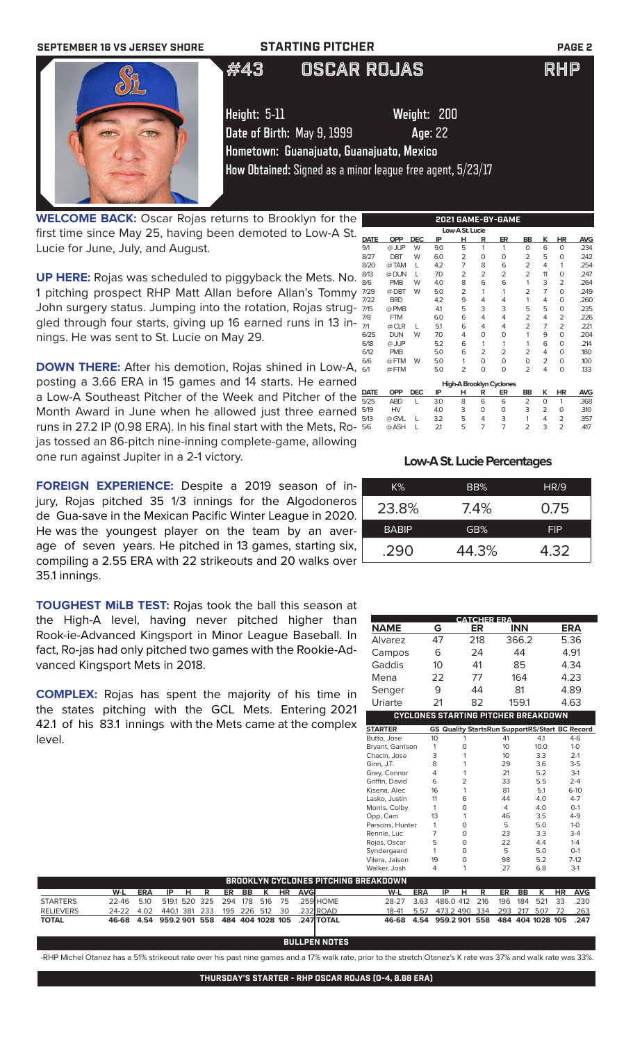

**WELCOME BACK:** Oscar Rojas returns to Brooklyn for the first time since May 25, having been demoted to Low-A St. Lucie for June, July, and August.

**UP HERE:** Rojas was scheduled to piggyback the Mets. No. 1 pitching prospect RHP Matt Allan before Allan's Tommy  $\frac{7}{7}$ John surgery status. Jumping into the rotation, Rojas struggled through four starts, giving up 16 earned runs in 13 innings. He was sent to St. Lucie on May 29.

**DOWN THERE:** After his demotion, Rojas shined in Low-A,  $\frac{1}{6}$ posting a 3.66 ERA in 15 games and 14 starts. He earned a Low-A Southeast Pitcher of the Week and Pitcher of the  $\frac{D}{50}$ Month Award in June when he allowed just three earned 5 runs in 27.2 IP (0.98 ERA). In his final start with the Mets, Rojas tossed an 86-pitch nine-inning complete-game, allowing one run against Jupiter in a 2-1 victory.

**FOREIGN EXPERIENCE:** Despite a 2019 season of injury, Rojas pitched 35 1/3 innings for the Algodoneros de Gua-save in the Mexican Pacific Winter League in 2020. He was the youngest player on the team by an average of seven years. He pitched in 13 games, starting six, compiling a 2.55 ERA with 22 strikeouts and 20 walks over 35.1 innings.

**TOUGHEST MiLB TEST:** Rojas took the ball this season at the High-A level, having never pitched higher than Rook-ie-Advanced Kingsport in Minor League Baseball. In fact, Ro-jas had only pitched two games with the Rookie-Advanced Kingsport Mets in 2018.

**COMPLEX:** Rojas has spent the majority of his time in the states pitching with the GCL Mets. Entering 2021 42.1 of his 83.1 innings with the Mets came at the complex level.

**W-L ERA IP H R ER BB K HR AVG**

 $\overline{484}$  **404 1028 105** 

STARTERS 22-46 5.10 519.1 520 325 294 178 516 75 .259 RELIEVERS 24-22 4.02 440.1 381 233 195 226 512 30 .232<br>**TOTAL 46-68 4.54 959.2 901 558 484 404 1028 105 .247** 

|             |            |            |     | Low-A St. Lucie |   |                          |                |                |    |            |
|-------------|------------|------------|-----|-----------------|---|--------------------------|----------------|----------------|----|------------|
| <b>DATE</b> | <b>OPP</b> | <b>DEC</b> | IP  | н               | R | ER                       | BB             | κ              | HR | <b>AVG</b> |
| 9/1         | @ JUP      | W          | 9.0 | 5               | 1 | 1                        | O              | 6              | 0  | .234       |
| 8/27        | DBT        | W          | 6.0 | 2               | 0 | 0                        | $\overline{2}$ | 5              | 0  | .242       |
| 8/20        | @TAM       | L          | 4.2 | 7               | 8 | 6                        | $\overline{2}$ | 4              | 1  | .254       |
| 8/13        | @ DUN      | L          | 7.0 | $\overline{2}$  | 2 | $\overline{2}$           | 2              | 11             | O  | .247       |
| 8/6         | <b>PMB</b> | W          | 4.0 | 8               | 6 | 6                        | 1              | 3              | 2  | .264       |
| 7/29        | @ DBT      | W          | 5.0 | $\overline{2}$  | 1 | 1                        | 2              | $\overline{7}$ | O  | .249       |
| 7/22        | <b>BRD</b> |            | 4.2 | 9               | 4 | 4                        | 1              | 4              | 0  | .260       |
| 7/15        | @ PMB      |            | 4.1 | 5               | 3 | 3                        | 5              | 5              | 0  | .235       |
| 7/8         | <b>FTM</b> |            | 6.0 | 6               | 4 | 4                        | 2              | 4              | 2  | .226       |
| 7/1         | @ CLR      | L          | 5.1 | 6               | 4 | 4                        | 2              | 7              | 2  | .221       |
| 6/25        | <b>DUN</b> | W          | 7.0 | 4               | 0 | 0                        | 1              | 9              | 0  | .204       |
| 6/18        | @ JUP      |            | 5.2 | 6               | 1 | 1                        | 1              | 6              | O  | .214       |
| 6/12        | <b>PMB</b> |            | 5.0 | 6               | 2 | 2                        | $\overline{2}$ | 4              | 0  | .180       |
| 6/6         | @FTM       | W          | 5.0 | 1               | 0 | 0                        | $\Omega$       | 2              | O  | .100       |
| 6/1         | @FTM       |            | 5.0 | 2               | 0 | 0                        | 2              | 4              | 0  | .133       |
|             |            |            |     |                 |   | High-A Brooklyn Cyclones |                |                |    |            |
| DATE        | <b>OPP</b> | <b>DEC</b> | IP  | н               | R | ER                       | BB             | ĸ              | HR | <b>AVG</b> |
| 5/25        | <b>ABD</b> | L          | 3.0 | 8               | 6 | 6                        | $\overline{2}$ | O              | 1  | .368       |
| 5/19        | HV         |            | 4.0 | 3               | O | $\Omega$                 | 3              | 2              | 0  | .310       |
| 5/13        | @ GVL      | L          | 3.2 | 5               | 4 | 3                        | 1              | 4              | 2  | .357       |
| 5/6         | @ ASH      | L          | 2.1 | 5               | 7 | $\overline{7}$           | 2              | 3              | 2  | .417       |

**2021 GAME-BY-GAME**

### **Low-A St. Lucie Percentages**

| $K\%$        | BB%   | HR/9       |
|--------------|-------|------------|
| 23.8%        | 7.4%  | 0.75       |
| <b>BABIP</b> | GB%   | <b>FIP</b> |
| .290         | 44.3% | 4.32       |

| <b>CATCHER ERA</b><br>than<br>۲ŕ<br><b>INN</b><br><b>NAME</b><br>G<br>ER<br><b>ERA</b><br>ball. In<br>47<br>218<br>366.2<br>5.36<br>Alvarez<br>kie-Ad-<br>44<br>4.91<br>6<br>24<br>Campos<br>Gaddis<br>41<br>85<br>4.34<br>10<br>Mena<br>77<br>164<br>4.23<br>22<br>9<br>44<br>81<br>4.89<br>Senger<br>time in<br>Uriarte<br>4.63<br>21<br>82<br>159.1<br>າg 2021<br><b>CYCLONES STARTING PITCHER BREAKDOWN</b><br><b>STARTER</b><br><b>GS Quality StartsRun SupportRS/Start BC Record</b><br>41<br>4.1<br>Butto, Jose<br>10<br>1<br>10.0<br>1<br>0<br>10<br>Bryant, Garrison<br>3<br>1<br>10<br>3.3<br>$2-1$<br>Chacin, Jose<br>Ginn, J.T.<br>8<br>1<br>29<br>3.6<br>$3-5$<br>21<br>5.2<br>Grey, Connor<br>4<br>1<br>$\overline{2}$<br>5.5<br>Griffin, David<br>6<br>33<br>5.1<br>81<br>Kisena, Alec<br>16<br>1<br>11<br>6<br>44<br>4.0<br>Lasko, Justin<br>$\overline{4}$<br>4.0<br>$\mathbf 0$<br>Morris, Colby<br>1<br>3.5<br>13<br>1<br>46<br>Opp, Cam<br>5<br>5.0<br>Parsons, Hunter<br>1<br>0<br>$\overline{7}$<br>3.3<br>0<br>23<br>Rennie, Luc<br>5<br>$\Omega$<br>22<br>4.4<br>Rojas, Oscar<br>5<br>$\Omega$<br>5.0<br>Syndergaard<br>1<br>$\Omega$<br>98<br>5.2<br>Vilera, Jaison<br>19<br>1<br>27<br>Walker, Josh<br>4<br>6.8<br>W-L<br><b>ERA</b><br>IP<br>К<br>н<br>R<br>ER<br><b>BB</b><br><b>HR</b><br>486.0 412<br>216<br>196<br>521<br>33<br>28-27<br>3.63<br>184 |            |
|-------------------------------------------------------------------------------------------------------------------------------------------------------------------------------------------------------------------------------------------------------------------------------------------------------------------------------------------------------------------------------------------------------------------------------------------------------------------------------------------------------------------------------------------------------------------------------------------------------------------------------------------------------------------------------------------------------------------------------------------------------------------------------------------------------------------------------------------------------------------------------------------------------------------------------------------------------------------------------------------------------------------------------------------------------------------------------------------------------------------------------------------------------------------------------------------------------------------------------------------------------------------------------------------------------------------------------------------------------------------------------------|------------|
|                                                                                                                                                                                                                                                                                                                                                                                                                                                                                                                                                                                                                                                                                                                                                                                                                                                                                                                                                                                                                                                                                                                                                                                                                                                                                                                                                                                     |            |
|                                                                                                                                                                                                                                                                                                                                                                                                                                                                                                                                                                                                                                                                                                                                                                                                                                                                                                                                                                                                                                                                                                                                                                                                                                                                                                                                                                                     |            |
|                                                                                                                                                                                                                                                                                                                                                                                                                                                                                                                                                                                                                                                                                                                                                                                                                                                                                                                                                                                                                                                                                                                                                                                                                                                                                                                                                                                     |            |
|                                                                                                                                                                                                                                                                                                                                                                                                                                                                                                                                                                                                                                                                                                                                                                                                                                                                                                                                                                                                                                                                                                                                                                                                                                                                                                                                                                                     |            |
|                                                                                                                                                                                                                                                                                                                                                                                                                                                                                                                                                                                                                                                                                                                                                                                                                                                                                                                                                                                                                                                                                                                                                                                                                                                                                                                                                                                     |            |
|                                                                                                                                                                                                                                                                                                                                                                                                                                                                                                                                                                                                                                                                                                                                                                                                                                                                                                                                                                                                                                                                                                                                                                                                                                                                                                                                                                                     |            |
|                                                                                                                                                                                                                                                                                                                                                                                                                                                                                                                                                                                                                                                                                                                                                                                                                                                                                                                                                                                                                                                                                                                                                                                                                                                                                                                                                                                     |            |
| omplex<br>PITCHING BREAKDOWN<br><b>HOME</b>                                                                                                                                                                                                                                                                                                                                                                                                                                                                                                                                                                                                                                                                                                                                                                                                                                                                                                                                                                                                                                                                                                                                                                                                                                                                                                                                         |            |
|                                                                                                                                                                                                                                                                                                                                                                                                                                                                                                                                                                                                                                                                                                                                                                                                                                                                                                                                                                                                                                                                                                                                                                                                                                                                                                                                                                                     |            |
|                                                                                                                                                                                                                                                                                                                                                                                                                                                                                                                                                                                                                                                                                                                                                                                                                                                                                                                                                                                                                                                                                                                                                                                                                                                                                                                                                                                     |            |
|                                                                                                                                                                                                                                                                                                                                                                                                                                                                                                                                                                                                                                                                                                                                                                                                                                                                                                                                                                                                                                                                                                                                                                                                                                                                                                                                                                                     |            |
|                                                                                                                                                                                                                                                                                                                                                                                                                                                                                                                                                                                                                                                                                                                                                                                                                                                                                                                                                                                                                                                                                                                                                                                                                                                                                                                                                                                     | $4 - 6$    |
|                                                                                                                                                                                                                                                                                                                                                                                                                                                                                                                                                                                                                                                                                                                                                                                                                                                                                                                                                                                                                                                                                                                                                                                                                                                                                                                                                                                     | $1-0$      |
|                                                                                                                                                                                                                                                                                                                                                                                                                                                                                                                                                                                                                                                                                                                                                                                                                                                                                                                                                                                                                                                                                                                                                                                                                                                                                                                                                                                     |            |
|                                                                                                                                                                                                                                                                                                                                                                                                                                                                                                                                                                                                                                                                                                                                                                                                                                                                                                                                                                                                                                                                                                                                                                                                                                                                                                                                                                                     | $3-1$      |
|                                                                                                                                                                                                                                                                                                                                                                                                                                                                                                                                                                                                                                                                                                                                                                                                                                                                                                                                                                                                                                                                                                                                                                                                                                                                                                                                                                                     | $2 - 4$    |
|                                                                                                                                                                                                                                                                                                                                                                                                                                                                                                                                                                                                                                                                                                                                                                                                                                                                                                                                                                                                                                                                                                                                                                                                                                                                                                                                                                                     | $6-10$     |
|                                                                                                                                                                                                                                                                                                                                                                                                                                                                                                                                                                                                                                                                                                                                                                                                                                                                                                                                                                                                                                                                                                                                                                                                                                                                                                                                                                                     | $4 - 7$    |
|                                                                                                                                                                                                                                                                                                                                                                                                                                                                                                                                                                                                                                                                                                                                                                                                                                                                                                                                                                                                                                                                                                                                                                                                                                                                                                                                                                                     | $0-1$      |
|                                                                                                                                                                                                                                                                                                                                                                                                                                                                                                                                                                                                                                                                                                                                                                                                                                                                                                                                                                                                                                                                                                                                                                                                                                                                                                                                                                                     | $4 - 9$    |
|                                                                                                                                                                                                                                                                                                                                                                                                                                                                                                                                                                                                                                                                                                                                                                                                                                                                                                                                                                                                                                                                                                                                                                                                                                                                                                                                                                                     | $1-0$      |
|                                                                                                                                                                                                                                                                                                                                                                                                                                                                                                                                                                                                                                                                                                                                                                                                                                                                                                                                                                                                                                                                                                                                                                                                                                                                                                                                                                                     | $3-4$      |
|                                                                                                                                                                                                                                                                                                                                                                                                                                                                                                                                                                                                                                                                                                                                                                                                                                                                                                                                                                                                                                                                                                                                                                                                                                                                                                                                                                                     | $1 - 4$    |
|                                                                                                                                                                                                                                                                                                                                                                                                                                                                                                                                                                                                                                                                                                                                                                                                                                                                                                                                                                                                                                                                                                                                                                                                                                                                                                                                                                                     | $O-1$      |
|                                                                                                                                                                                                                                                                                                                                                                                                                                                                                                                                                                                                                                                                                                                                                                                                                                                                                                                                                                                                                                                                                                                                                                                                                                                                                                                                                                                     | $7-12$     |
|                                                                                                                                                                                                                                                                                                                                                                                                                                                                                                                                                                                                                                                                                                                                                                                                                                                                                                                                                                                                                                                                                                                                                                                                                                                                                                                                                                                     | $3-1$      |
|                                                                                                                                                                                                                                                                                                                                                                                                                                                                                                                                                                                                                                                                                                                                                                                                                                                                                                                                                                                                                                                                                                                                                                                                                                                                                                                                                                                     |            |
|                                                                                                                                                                                                                                                                                                                                                                                                                                                                                                                                                                                                                                                                                                                                                                                                                                                                                                                                                                                                                                                                                                                                                                                                                                                                                                                                                                                     | <b>AVG</b> |
|                                                                                                                                                                                                                                                                                                                                                                                                                                                                                                                                                                                                                                                                                                                                                                                                                                                                                                                                                                                                                                                                                                                                                                                                                                                                                                                                                                                     | .230       |
| <b>ROAD</b><br>5.57<br>473.2 490<br>334<br>217<br>507<br>72<br>$18 - 41$<br>293                                                                                                                                                                                                                                                                                                                                                                                                                                                                                                                                                                                                                                                                                                                                                                                                                                                                                                                                                                                                                                                                                                                                                                                                                                                                                                     | .263       |
| <b>TOTAL</b><br>959.2 901<br>484 404 1028 105<br>46-68<br>4.54<br>558                                                                                                                                                                                                                                                                                                                                                                                                                                                                                                                                                                                                                                                                                                                                                                                                                                                                                                                                                                                                                                                                                                                                                                                                                                                                                                               | .247       |
|                                                                                                                                                                                                                                                                                                                                                                                                                                                                                                                                                                                                                                                                                                                                                                                                                                                                                                                                                                                                                                                                                                                                                                                                                                                                                                                                                                                     |            |

**BULLPEN NOTES** -RHP Michel Otanez has a 51% strikeout rate over his past nine games and a 17% walk rate, prior to the stretch Otanez's K rate was 37% and walk rate was 33%.

**BROOKLYN CYCLONES PITCHING BR**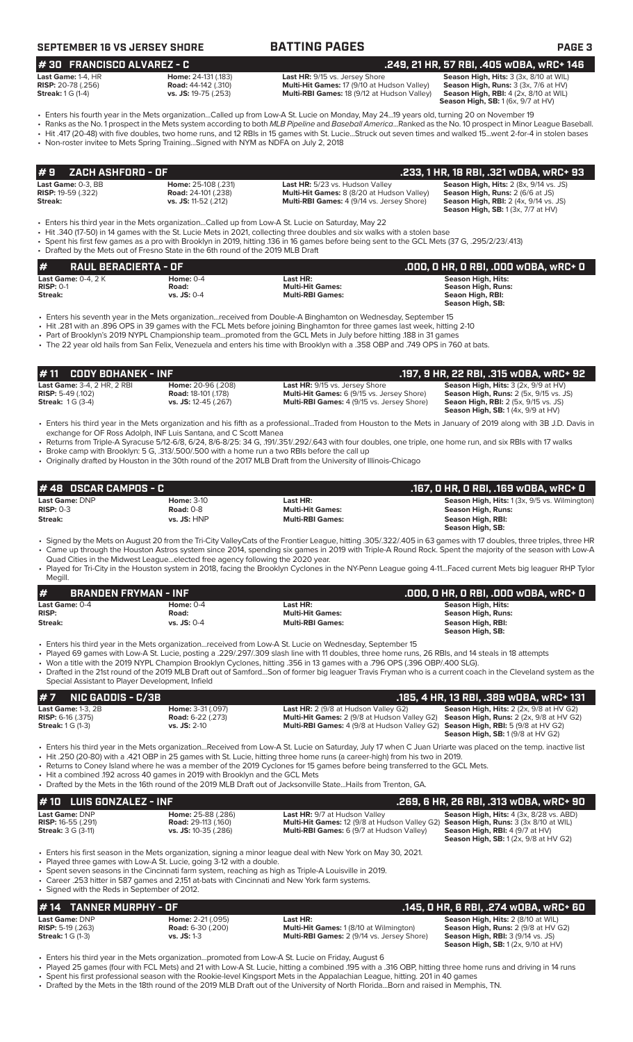|  |  |  |  |  |  | SEPTEMBER 16 VS JERSEY SHORE |  |  |  |  |  |  |
|--|--|--|--|--|--|------------------------------|--|--|--|--|--|--|
|  |  |  |  |  |  |                              |  |  |  |  |  |  |

# **SEPTEMBER 16 INSTEAD 20 IFROM A SHOREA PAGE 3**

**# 30 FRANCISCO ALVAREZ - C .249, 21 HR, 57 RBI, .405 wOBA, wRC+ 146**

**Last HR:** 9/15 vs. Jersey Shore **Season High, Hits:** 3 (3x, 8/10 at WIL **Road:** 44-142 (.310) **Multi-Hit Games:** 17 (9/10 at Hudson Valley) **Season High, Rins:** 3 (3x, 7/6 at HV) **Road:** 44-142 (.310) **Road:** *R***oad:** *ATAC (.310)* **<b>Road: Ri**ang **Road: Ri**ang **Communision And High, At At At A**<br>**Multi-RBI Games:** 18 (9/12 at Hudson Valley **Multi-RBI Games:** 18 (9/12 at Hudson Valley)

**Season High, RBI:** 4 (2x, 8/10 at WIL)<br>**Season High, RBI:** 4 (2x, 8/10 at WIL)

• Enters his fourth year in the Mets organization...Called up from Low-A St. Lucie on Monday, May 24...19 years old, turning 20 on November 19 • Ranks as the No. 1 prospect in the Mets system according to both *MLB Pipeline* and *Baseball America*...Ranked as the No. 10 prospect in Minor League Baseball.

• Hit .417 (20-48) with five doubles, two home runs, and 12 RBIs in 15 games with St. Lucie...Struck out seven times and walked 15...went 2-for-4 in stolen bases

• Non-roster invitee to Mets Spring Training...Signed with NYM as NDFA on July 2, 2018

| 1#9    ZACH ASHFORD - OF  |                            |                                                   | .233. 1 HR. 18 RBI. .321 wOBA. wRC+ 93        |
|---------------------------|----------------------------|---------------------------------------------------|-----------------------------------------------|
| Last Game: 0-3. BB        | Home: 25-108 (.231)        | Last HR: 5/23 vs. Hudson Valley                   | <b>Season High, Hits: 2 (8x, 9/14 vs. JS)</b> |
| <b>RISP:</b> 19-59 (.322) | <b>Road: 24-101 (.238)</b> | <b>Multi-Hit Games:</b> 8 (8/20 at Hudson Valley) | <b>Season High, Runs: 2 (6/6 at JS)</b>       |
| Streak:                   | vs. JS: 11-52 (.212)       | <b>Multi-RBI Games:</b> 4 (9/14 vs. Jersey Shore) | <b>Season High, RBI:</b> 2 (4x, 9/14 vs. JS)  |
|                           |                            |                                                   | <b>Season High, SB: 1 (3x, 7/7 at HV)</b>     |

• Enters his third year in the Mets organization...Called up from Low-A St. Lucie on Saturday, May 22

• Hit .340 (17-50) in 14 games with the St. Lucie Mets in 2021, collecting three doubles and six walks with a stolen base

• Spent his first few games as a pro with Brooklyn in 2019, hitting .136 in 16 games before being sent to the GCL Mets (37 G, .295/2/23/.413) • Drafted by the Mets out of Fresno State in the 6th round of the 2019 MLB Draft

**# RAUL BERACIERTA - OF .000, 0 HR, 0 RBI, .000 wOBA, wRC+ 0**

| <b>Last Game: <math>0-4</math>. 2 K</b> | Home: $0-4$     | Last HR:                | Season High, Hits: |
|-----------------------------------------|-----------------|-------------------------|--------------------|
| $RISP: 0-1$                             | Road:           | <b>Multi-Hit Games:</b> | Season High, Runs: |
| Streak:                                 | $vs.$ JS: $0-4$ | <b>Multi-RBI Games:</b> | Seaon High, RBI:   |
|                                         |                 |                         | Season High, SB:   |

• Enters his seventh year in the Mets organization...received from Double-A Binghamton on Wednesday, September 15

• Hit .281 with an .896 OPS in 39 games with the FCL Mets before joining Binghamton for three games last week, hitting 2-10

• Part of Brooklyn's 2019 NYPL Championship team...promoted from the GCL Mets in July before hitting .188 in 31 games

• The 22 year old hails from San Felix, Venezuela and enters his time with Brooklyn with a .358 OBP and .749 OPS in 760 at bats.

### **# 48 OSCAR CAMPOS - C .167, 0 HR, 0 RBI, .169 wOBA, wRC+ 0 Last Game: DNP Home: 3-10 Last HR: Season High, Hits:** 1 (3x, 9/5 vs. Wilmington)<br> **RISP:** 0-3 **Road: 0-8 Home: 3-10 Home: Alternative Multi-Hit Games: Season High, Hits: 1 (3x, 9/5 vs. Wilmington)**  $S$ eason High, Runs: **Streak: vs. JS:** HNP **Multi-RBI Games: Season High, RBI: Season High, SB: # 11 CODY BOHANEK - INF .197, 9 HR, 22 RBI, .315 wOBA, wRC+ 92 Last Game:** 3-4, 2 HR, 2 RBI **Home:** 20-96 (.208) **Last HR:** 9/15 vs. Jersey Shore **Season High, Hits:** 3 (2x, 9/9 at HV) **RISP:** 5-49 (.102) **Road:** 18-101 (.178) **Multi-Hit Games:** 6 (9/15 vs. Jersey Shore) **Season High, Runs:** 2 (5x, 9/15 vs. JS) **Streak:** 1 G (3-4) **vs. JS:** 12-45 (.267) **Multi-RBI Games:** 4 (9/15 vs. Jersey Shore) **Seaon High, RBI:** 2 (5x, 9/15 vs. JS) **Season High, SB:** 1 (4x, 9/9 at HV) • Enters his third year in the Mets organization and his fifth as a professional...Traded from Houston to the Mets in January of 2019 along with 3B J.D. Davis in exchange for OF Ross Adolph, INF Luis Santana, and C Scott Manea • Returns from Triple-A Syracuse 5/12-6/8, 6/24, 8/6-8/25: 34 G, .191/.351/.292/.643 with four doubles, one triple, one home run, and six RBIs with 17 walks • Broke camp with Brooklyn: 5 G, .313/.500/.500 with a home run a two RBIs before the call up • Originally drafted by Houston in the 30th round of the 2017 MLB Draft from the University of Illinois-Chicago

• Signed by the Mets on August 20 from the Tri-City ValleyCats of the Frontier League, hitting .305/.322/.405 in 63 games with 17 doubles, three triples, three HR • Came up through the Houston Astros system since 2014, spending six games in 2019 with Triple-A Round Rock. Spent the majority of the season with Low-A Quad Cities in the Midwest League...elected free agency following the 2020 year.

• Played for Tri-City in the Houston system in 2018, facing the Brooklyn Cyclones in the NY-Penn League going 4-11...Faced current Mets big leaguer RHP Tylor Megill.

| #<br><b>BRANDEN FRYMAN - INF</b> |                      |                                     | .000. 0 HR. 0 RBI. .000 w0BA. wRC+ 0     |
|----------------------------------|----------------------|-------------------------------------|------------------------------------------|
| Last Game: 0-4<br><b>RISP:</b>   | Home: $0-4$<br>Road: | Last HR:<br><b>Multi-Hit Games:</b> | Season High, Hits:<br>Season High, Runs: |
| Streak:                          | $vs.$ JS: 0-4        | <b>Multi-RBI Games:</b>             | Season High, RBI:<br>Season High, SB:    |

- Enters his third year in the Mets organization...received from Low-A St. Lucie on Wednesday, September 15
- Played 69 games with Low-A St. Lucie, posting a .229/.297/.309 slash line with 11 doubles, three home runs, 26 RBIs, and 14 steals in 18 attempts
- Won a title with the 2019 NYPL Champion Brooklyn Cyclones, hitting .356 in 13 games with a .796 OPS (.396 OBP/.400 SLG).
- Drafted in the 21st round of the 2019 MLB Draft out of Samford...Son of former big leaguer Travis Fryman who is a current coach in the Cleveland system as the Special Assistant to Player Development, Infield

| # 7 NIC GADDIS - C/3B      |                          |                                                                                                    | .185. 4 HR. 13 RBI. .389 wOBA. wRC+ 131                |
|----------------------------|--------------------------|----------------------------------------------------------------------------------------------------|--------------------------------------------------------|
| Last Game: $1-3.2B$        | <b>Home: 3-31 (.097)</b> | <b>Last HR:</b> 2 (9/8 at Hudson Valley G2)                                                        | <b>Season High, Hits:</b> $2$ ( $2x$ , $9/8$ at HV G2) |
| <b>RISP:</b> $6-16$ (.375) | <b>Road:</b> 6-22 (.273) | <b>Multi-Hit Games:</b> 2 (9/8 at Hudson Valley G2) <b>Season High, Runs:</b> 2 (2x, 9/8 at HV G2) |                                                        |
| <b>Streak:</b> 1 G (1-3)   | $vs.$ JS: 2-10           | <b>Multi-RBI Games:</b> 4 (9/8 at Hudson Valley G2) <b>Season High, RBI:</b> 5 (9/8 at HV G2)      |                                                        |
|                            |                          |                                                                                                    | <b>Season High, SB:</b> $1(9/8$ at HV G2)              |

• Enters his third year in the Mets organization...Received from Low-A St. Lucie on Saturday, July 17 when C Juan Uriarte was placed on the temp. inactive list • Hit .250 (20-80) with a .421 OBP in 25 games with St. Lucie, hitting three home runs (a career-high) from his two in 2019.

- Returns to Coney Island where he was a member of the 2019 Cyclones for 15 games before being transferred to the GCL Mets.
- Hit a combined .192 across 40 games in 2019 with Brooklyn and the GCL Mets
- Drafted by the Mets in the 16th round of the 2019 MLB Draft out of Jacksonville State...Hails from Trenton, GA.

| $# 10$ LUIS GONZALEZ - INF |                            |                                                                                     | .269. 6 HR. 26 RBI. .313 wOBA. wRC+ 90         |
|----------------------------|----------------------------|-------------------------------------------------------------------------------------|------------------------------------------------|
| <b>Last Game: DNP</b>      | <b>Home:</b> 25-88 (.286)  | <b>Last HR: 9/7 at Hudson Valley</b>                                                | <b>Season High, Hits: 4 (3x, 8/28 vs. ABD)</b> |
| <b>RISP:</b> 16-55 (.291)  | <b>Road: 29-113 (.160)</b> | Multi-Hit Games: 12 (9/8 at Hudson Valley G2) Season High, Runs: 3 (3x 8/10 at WIL) | <b>Season High, RBI:</b> 4 $(9/7$ at HV)       |
| <b>Streak:</b> 3 G (3-11)  | $vs.$ JS: 10-35 (.286)     | <b>Multi-RBI Games:</b> 6 (9/7 at Hudson Valley)                                    | <b>Season High, SB:</b> $1(2x, 9/8$ at HV G2)  |

• Enters his first season in the Mets organization, signing a minor league deal with New York on May 30, 2021.

Played three games with Low-A St. Lucie, going 3-12 with a double.

• Spent seven seasons in the Cincinnati farm system, reaching as high as Triple-A Louisville in 2019.

• Career .253 hitter in 587 games and 2,151 at-bats with Cincinnati and New York farm systems. • Signed with the Reds in September of 2012.

## **# 14 TANNER MURPHY - OF .145, 0 HR, 6 RBI, .274 wOBA, wRC+ 60**

|                            |                          |                                                   | ,,, ,                                       |
|----------------------------|--------------------------|---------------------------------------------------|---------------------------------------------|
| <b>Last Game: DNP</b>      | <b>Home: 2-21</b> (.095) | Last HR:                                          | <b>Season High, Hits: 2 (8/10 at WIL)</b>   |
| <b>RISP:</b> 5-19 $(.263)$ | <b>Road:</b> 6-30 (.200) | <b>Multi-Hit Games: 1 (8/10 at Wilmington)</b>    | <b>Season High, Runs: 2 (9/8 at HV G2)</b>  |
| <b>Streak:</b> $1 G (1-3)$ | $vs.$ JS: 1-3            | <b>Multi-RBI Games: 2 (9/14 vs. Jersey Shore)</b> | <b>Season High, RBI: 3 (9/14 vs. JS)</b>    |
|                            |                          |                                                   | <b>Season High, SB:</b> $1(2x, 9/10$ at HV) |

• Enters his third year in the Mets organization...promoted from Low-A St. Lucie on Friday, August 6

• Played 25 games (four with FCL Mets) and 21 with Low-A St. Lucie, hitting a combined .195 with a .316 OBP, hitting three home runs and driving in 14 runs • Spent his first professional season with the Rookie-level Kingsport Mets in the Appalachian League, hitting. 201 in 40 games

• Drafted by the Mets in the 18th round of the 2019 MLB Draft out of the University of North Florida...Born and raised in Memphis, TN.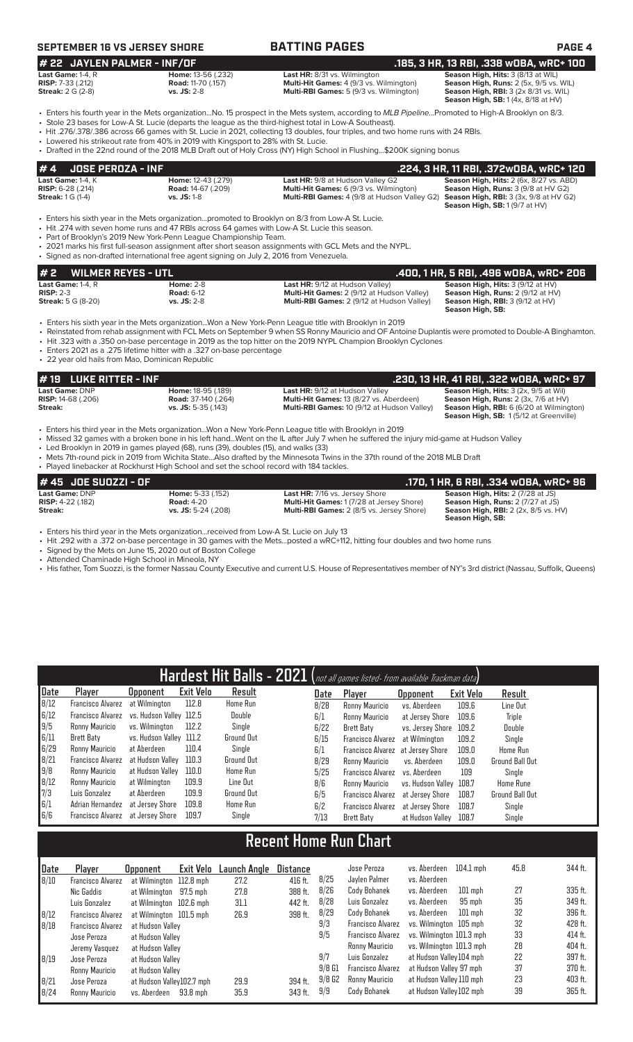# **SEPTEMBER 16 VS JERSEY SHORE BATTING PAGES PAGE 4**

### **# 22 JAYLEN PALMER - INF/OF .185, 3 HR, 13 RBI, .338 wOBA, wRC+ 100 Last Game:** 1-4, R **Home:** 13-56 (.232) **Last HR:** 8/31 vs. Wilmington **Season High, Hits:** 3 (8/13 at WIL) **RISP:** 7-33 (.212) **Road:** 11-70 (.157) **Multi-Hit Games:** 4 (9/3 vs. Wilmington) **Season High, Runs:** 2 (5x, 9/5 vs. WIL) **Streak:** 2 G (2-8) **vs. JS:** 2-8 **Multi-RBI Games:** 5 (9/3 vs. Wilmington) **Season High, RBI:** 3 (2x 8/31 vs. WIL)

**Season High, RBI:** 3 (2x 8/31 vs. WIL)<br>**Season High, SB:** 1 (4x, 8/18 at HV)

- Enters his fourth year in the Mets organization...No. 15 prospect in the Mets system, according to *MLB Pipeline*...Promoted to High-A Brooklyn on 8/3.
- Stole 23 bases for Low-A St. Lucie (departs the league as the third-highest total in Low-A Southeast). • Hit .276/.378/.386 across 66 games with St. Lucie in 2021, collecting 13 doubles, four triples, and two home runs with 24 RBIs.
- Lowered his strikeout rate from 40% in 2019 with Kingsport to 28% with St. Lucie.
- Drafted in the 22nd round of the 2018 MLB Draft out of Holy Cross (NY) High School in Flushing...\$200K signing bonus

|                              |                           |                                                                                                   | .224, 3 HR, 11 RBI, .372w0BA, wRC+ 120         |
|------------------------------|---------------------------|---------------------------------------------------------------------------------------------------|------------------------------------------------|
| <b>Last Game:</b> 1-4, K     | <b>Home:</b> 12-43 (.279) | <b>Last HR:</b> 9/8 at Hudson Valley G2                                                           | <b>Season High, Hits: 2 (6x, 8/27 vs. ABD)</b> |
| <b>RISP:</b> $6-28$ $(.214)$ | <b>Road:</b> 14-67 (.209) | <b>Multi-Hit Games:</b> 6 (9/3 vs. Wilmington)                                                    | <b>Season High, Runs: 3 (9/8 at HV G2)</b>     |
| <b>Streak:</b> $1 G (1-4)$   | $vs.$ JS: 1-8             | <b>Multi-RBI Games:</b> 4 (9/8 at Hudson Valley G2) <b>Season High, RBI:</b> 3 (3x, 9/8 at HV G2) |                                                |
|                              |                           |                                                                                                   | Season High, SB: 1(9/7 at HV)                  |

• Enters his sixth year in the Mets organization...promoted to Brooklyn on 8/3 from Low-A St. Lucie.

• Hit .274 with seven home runs and 47 RBIs across 64 games with Low-A St. Lucie this season.

• Part of Brooklyn's 2019 New York-Penn League Championship Team.

• 2021 marks his first full-season assignment after short season assignments with GCL Mets and the NYPL. • Signed as non-drafted international free agent signing on July 2, 2016 from Venezuela.

| #2<br><b>WILMER REYES - UTL</b>       |                                       |                                                                                             | .400, 1 HR, 5 RBI, .496 WOBA, WRC+ 206                                               |
|---------------------------------------|---------------------------------------|---------------------------------------------------------------------------------------------|--------------------------------------------------------------------------------------|
| Last Game: $1-4$ . $R$<br>$RISP: 2-3$ | <b>Home: 2-8</b><br><b>Road: 6-12</b> | <b>Last HR: 9/12 at Hudson Valley)</b><br><b>Multi-Hit Games: 2 (9/12 at Hudson Valley)</b> | <b>Season High, Hits: 3 (9/12 at HV)</b><br><b>Season High, Runs: 2 (9/12 at HV)</b> |
| <b>Streak:</b> 5 G (8-20)             | <b>vs. JS: 2-8</b>                    | <b>Multi-RBI Games: 2 (9/12 at Hudson Valley)</b>                                           | <b>Season High, RBI:</b> $3(9/12$ at $HV$ )<br>Season High, SB:                      |

• Enters his sixth year in the Mets organization...Won a New York-Penn League title with Brooklyn in 2019

- Reinstated from rehab assignment with FCL Mets on September 9 when SS Ronny Mauricio and OF Antoine Duplantis were promoted to Double-A Binghamton. • Hit .323 with a .350 on-base percentage in 2019 as the top hitter on the 2019 NYPL Champion Brooklyn Cyclones
- Enters 2021 as a .275 lifetime hitter with a .327 on-base percentage
- 22 year old hails from Mao, Dominican Republic

# **# 19 LUKE RITTER - INF .230, 13 HR, 41 RBI, .322 wOBA, wRC+ 97**

| <b>Last Game: DNP</b>     |
|---------------------------|
| <b>RISP:</b> 14-68 (.206) |
| $\sim$ $\sim$ $\sim$      |

**Last Game:** DNP **Home:** 18-95 (.189) **Last HR:** 9/12 at Hudson Valley **Season High, Hits:** 3 (2x, 9/5 at Wil) **RISP:** 14-68 (.206) **Road:** 37-140 (.264) **Multi-Hit Games:** 13 (8/27 vs. Aberdeen) **Season High, Runs:** 2 (3x, 7/6 at HV)

**Streak: vs. JS:** 5-35 (.143) **Multi-RBI Games:** 10 (9/12 at Hudson Valley) **Season High, RBI:** 6 (6/20 at Wilmington) **Season High, SB:** 1 (5/12 at Greenville)

- Enters his third year in the Mets organization...Won a New York-Penn League title with Brooklyn in 2019 • Missed 32 games with a broken bone in his left hand...Went on the IL after July 7 when he suffered the injury mid-game at Hudson Valley
- Led Brooklyn in 2019 in games played (68), runs (39), doubles (15), and walks (33)
- Mets 7th-round pick in 2019 from Wichita State...Also drafted by the Minnesota Twins in the 37th round of the 2018 MLB Draft
- Played linebacker at Rockhurst High School and set the school record with 184 tackles. **# 45 JOE SUOZZI - OF .170, 1 HR, 6 RBI, .334 wOBA, wRC+ 96 Last Game: DNP Home:** 5-33 (.152) **Last HR:** 7/16 vs. Jersey Shore **Season High, Hits:** 2 (7/28 at JS) **RISP:** 4-22 (.182) **Righ, Runs:** 2 (7/27 at JS) **RISP:** 4-22 (.182) **Road:** 4-20 **Road: 4-20 Multi-Hit Games:** 1 (7/28 at Jersey Shore) **Season High, Runs:** 2 (7/27 at JS)<br>**Streak: w. JS:** 5-24 (.208) **Multi-RBI Games:** 2 (8/5 vs. Jersey Shore) **Season High, RBI:** 2 **Streak: Value of 2003** (1992) **Multi-RBI Games:** 2 (8/5 vs. Jersey Shore) **Season High, SB:**

• Enters his third year in the Mets organization...received from Low-A St. Lucie on July 13

• Hit .292 with a .372 on-base percentage in 30 games with the Mets...posted a wRC+112, hitting four doubles and two home runs

• Signed by the Mets on June 15, 2020 out of Boston College

- Attended Chaminade High School in Mineola, NY
- His father, Tom Suozzi, is the former Nassau County Executive and current U.S. House of Representatives member of NY's 3rd district (Nassau, Suffolk, Queens)

|      |                          |                         |           |                   |      | Hardest Hit Balls - 2021 (not all games listed- from available Trackman data) |                         |           |                        |
|------|--------------------------|-------------------------|-----------|-------------------|------|-------------------------------------------------------------------------------|-------------------------|-----------|------------------------|
| Date | Player                   | Upponent                | Exit Velo | Result            | Date | Player                                                                        | Opponent                | Exit Velo | Result                 |
| 8/12 | <b>Francisco Alvarez</b> | at Wilmington           | 112.8     | Home Run          | 8/28 | Ronny Mauricio                                                                | vs. Aberdeen            | 109.6     | Line Out               |
| 6/12 | Francisco Alvarez        | vs. Hudson Vallev 112.5 |           | Double            | 6/1  | Ronny Mauricio                                                                | at Jersey Shore         | 109.6     | <b>Triple</b>          |
| 9/5  | Ronny Mauricio           | vs. Wilminaton          | 112.2     | Single            | 6/22 | Brett Baty                                                                    | vs. Jersey Shore        | 109.2     | Double                 |
| 6/11 | Brett Baty               | vs. Hudson Valley 111.2 |           | <b>Ground Out</b> | 6/15 | Francisco Alvarez                                                             | at Wilmington           | 109.2     | Single                 |
| 6/29 | Ronny Mauricio           | at Aberdeen             | 110.4     | Single            | 6/1  | Francisco Alvarez at Jersey Shore                                             |                         | 109.0     | Home Run               |
| 8/21 | Francisco Alvarez        | at Hudson Vallev        | 110.3     | Ground Out        | 8/29 | Ronny Mauricio                                                                | vs. Aberdeen            | 109.0     | <b>Ground Ball Out</b> |
| 9/8  | Ronny Mauricio           | at Hudson Valley        | 110.0     | <b>Home Run</b>   | 5/25 | Francisco Alvarez                                                             | vs. Aberdeen            | 109       | Single                 |
| 8/12 | Ronny Mauricio           | at Wilmington           | 109.9     | Line Out          | 8/6  | Ronny Mauricio                                                                | vs. Hudson Valley 108.7 |           | <b>Home Rune</b>       |
| 7/3  | Luis Gonzalez            | at Aberdeen             | 109.9     | <b>Ground Out</b> | 6/5  | Francisco Alvarez                                                             | at Jersev Shore         | 108.7     | <b>Ground Ball Out</b> |
| 6/1  | Adrian Hernandez         | at Jersev Shore         | 109.8     | Home Run          | 6/2  | <b>Francisco Alvarez</b>                                                      | at Jersey Shore         | 108.7     | Single                 |
| 6/6  | Francisco Alvarez        | at Jersev Shore         | 109.7     | Single            | 7/13 | Brett Baty                                                                    | at Hudson Vallev        | 108.7     | Single                 |

# **Recent Home Run Chart**

| Date | Player                   | Opponent                  | Exit Velo | Launch Angle | Distance |          | Jose Peroza              | vs. Aberdeen             | $104.1$ mph | 45.8 | 344 ft. |
|------|--------------------------|---------------------------|-----------|--------------|----------|----------|--------------------------|--------------------------|-------------|------|---------|
| 8/10 | Francisco Alvarez        | at Wilmington 112.8 mph   |           | 27.2         | 416 ft.  | 8/25     | Jaylen Palmer            | vs. Aberdeen             |             |      |         |
|      | Nic Gaddis               | at Wilmington 97.5 mph    |           | 27.8         | 388 ft.  | 8/26     | Cody Bohanek             | vs. Aberdeen             | $101$ mph   | 27   | 335 ft. |
|      | Luis Gonzalez            | at Wilmington 102.6 mph   |           | 31.1         | 442 ft.  | 8/28     | Luis Gonzalez            | vs. Aberdeen             | 95 mph      | 35   | 349 ft. |
| 8/12 | Francisco Alvarez        | at Wilmington 101.5 mph   |           | 26.9         | 398 ft.  | 8/29     | Cody Bohanek             | vs. Aberdeen             | $101$ mph   | 32   | 396 ft. |
| 8/18 | <b>Francisco Alvarez</b> | at Hudson Valley          |           |              |          | 9/3      | <b>Francisco Alvarez</b> | vs. Wilminaton 105 mph   |             | 32   | 428 ft. |
|      | Jose Peroza              | at Hudson Vallev          |           |              |          | 9/5      | <b>Francisco Alvarez</b> | vs. Wilmington 101.3 mph |             | 33   | 414 ft. |
|      | Jeremy Vasquez           | at Hudson Valley          |           |              |          |          | Ronny Mauricio           | vs. Wilminaton 101.3 mph |             | 28   | 404 ft. |
| 8/19 | Jose Peroza              | at Hudson Vallev          |           |              |          | 9/7      | Luis Gonzalez            | at Hudson Valley 104 mph |             | 22   | 397 ft. |
|      | Ronny Mauricio           | at Hudson Valley          |           |              |          | $9/8$ G1 | <b>Francisco Alvarez</b> | at Hudson Valley 97 mph  |             | 37   | 370 ft. |
| 8/21 | Jose Peroza              | at Hudson Valley102.7 mph |           | 29.9         | 394 ft.  | 9/8G2    | Ronny Mauricio           | at Hudson Valley 110 mph |             | 23   | 403 ft. |
| 8/24 | Ronny Mauricio           | vs. Aberdeen              | 93.8 mph  | 35.9         | 343 ft.  | 9/9      | Cody Bohanek             | at Hudson Valley 102 mph |             | 39   | 365 ft. |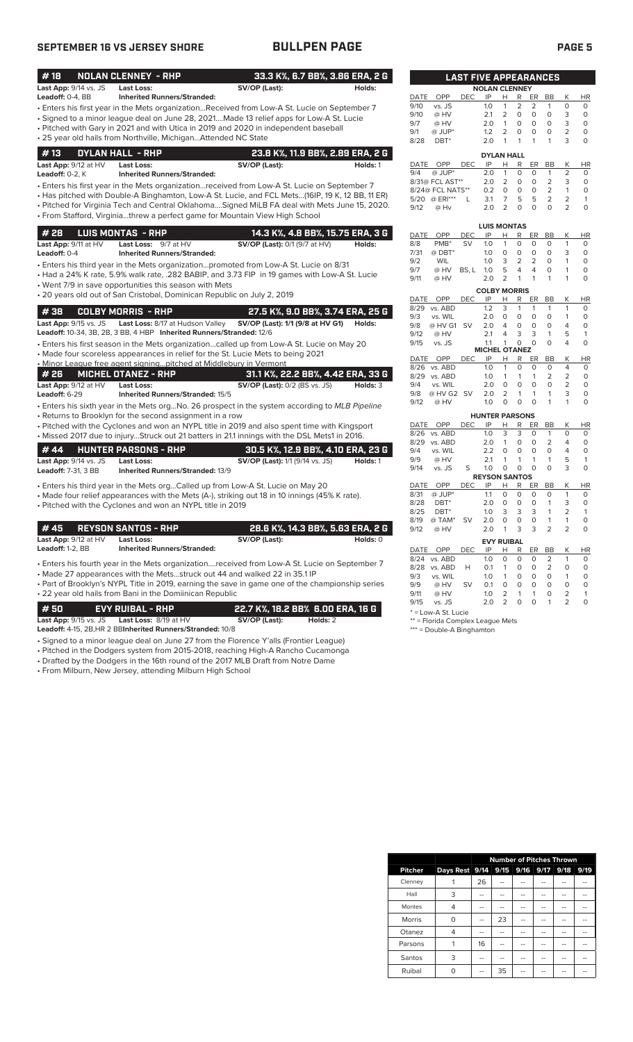# **SEPTEMBER 16 VS JERSEY SHORE BULLPEN PAGE PAGE 5**

|--|--|

| #18                   | <b>NOLAN CLENNEY - RHP</b>                                                                      | 33.3 K%, 6.7 BB%, 3.86 ERA, 2 G        |               |              |                          | <b>LAST FIVE APPEARANCES</b> |                       |                        |                            |                        |                |                     |                         |
|-----------------------|-------------------------------------------------------------------------------------------------|----------------------------------------|---------------|--------------|--------------------------|------------------------------|-----------------------|------------------------|----------------------------|------------------------|----------------|---------------------|-------------------------|
| Last App: 9/14 vs. JS | <b>Last Loss:</b>                                                                               | SV/OP (Last):                          | Holds:        |              |                          |                              | <b>NOLAN CLENNEY</b>  |                        |                            |                        |                |                     |                         |
| Leadoff: 0-4, BB      | <b>Inherited Runners/Stranded:</b>                                                              |                                        |               | DATE         | OPP                      | <b>DEC</b>                   | IP                    | H                      | R                          | ER                     | <b>BB</b>      | К                   | HI                      |
|                       |                                                                                                 |                                        |               | 9/10         | vs. JS                   |                              | 1.0                   | $\mathbf{1}$           | 2                          | 2                      | 1              | $\circ$             | $\Omega$                |
|                       | Enters his first year in the Mets organizationReceived from Low-A St. Lucie on September 7      |                                        |               | 9/10         | @ HV                     |                              | 2.1                   | $\overline{2}$         | $\circ$                    | $\circ$                | $\circ$        | 3                   | $\circ$                 |
|                       | Signed to a minor league deal on June 28, 2021Made 13 relief apps for Low-A St. Lucie           |                                        |               | 9/7          | @ HV                     |                              | 2.0                   | $\mathbf{1}$           | 0                          | $\circ$                | $\circ$        | 3                   | 0                       |
|                       | • Pitched with Gary in 2021 and with Utica in 2019 and 2020 in independent baseball             |                                        |               | 9/1          | @ JUP*                   |                              | 1.2                   | $\overline{2}$         | $\mathbf 0$                | $\circ$                | $\mathbf 0$    | $\overline{2}$      | $\Omega$                |
|                       | · 25 year old hails from Northville, MichiganAttended NC State                                  |                                        |               | 8/28         | DBT <sup>*</sup>         |                              | 2.0                   | $\mathbf{1}$           | 1                          | $\mathbf{1}$           | 1              | 3                   | 0                       |
| #13                   | DYLAN HALL - RHP                                                                                | 23.8 K%, 11.9 BB%, 2.89 ERA, 2 G       |               |              |                          |                              | <b>DYLAN HALL</b>     |                        |                            |                        |                |                     |                         |
| Last App: 9/12 at HV  | <b>Last Loss:</b>                                                                               | SV/OP (Last):                          | Holds: 1      | DATE         | <b>OPP</b>               | DEC.                         | IP                    | Н                      | R                          | <b>ER</b>              | <b>BB</b>      | Κ                   | HI                      |
| Leadoff: 0-2, K       | <b>Inherited Runners/Stranded:</b>                                                              |                                        |               | 9/4          | $@$ JUP*                 |                              | 2.0                   | $\mathbf{1}$           | $\circ$                    | $\Omega$               | $\mathbf{1}$   | 2                   | $\circ$                 |
|                       |                                                                                                 |                                        |               |              | 8/31@ FCL AST**          |                              | 2.0                   | $\overline{2}$         | $\circ$                    | $\circ$                | $\overline{2}$ | 3                   | 0                       |
|                       | Enters his first year in the Mets organizationreceived from Low-A St. Lucie on September 7 •    |                                        |               |              | 8/24@ FCL NATS**         |                              | 0.2                   | $\circ$                | $\circ$                    | $\circ$                | $\overline{2}$ | $\mathbf{1}$        | 0                       |
|                       | Has pitched with Double-A Binghamton, Low-A St. Lucie, and FCL Mets(16IP, 19 K, 12 BB, 11 ER) + |                                        |               |              | 5/20 @ ERI***            | L                            | 3.1                   | $\overline{7}$         | 5                          | 5                      | $\overline{2}$ | $\overline{2}$      | 1                       |
|                       | . Pitched for Virginia Tech and Central OklahomaSigned MiLB FA deal with Mets June 15, 2020.    |                                        |               | 9/12         | @ Hv                     |                              | 2.0                   | $\overline{2}$         | 0                          | $\Omega$               | $\mathbf 0$    | $\overline{2}$      | 0                       |
|                       | · From Stafford, Virginiathrew a perfect game for Mountain View High School                     |                                        |               |              |                          |                              |                       |                        |                            |                        |                |                     |                         |
|                       |                                                                                                 |                                        |               |              |                          |                              | <b>LUIS MONTAS</b>    |                        |                            |                        |                |                     |                         |
| # 28                  | <b>LUIS MONTAS - RHP</b>                                                                        | 14.3 K%, 4.8 BB%, 15.75 ERA, 3 G       |               | <b>DATE</b>  | OPP                      | <b>DEC</b>                   | IP                    | Н.                     | R                          | <b>ER</b>              | <b>BB</b>      | Κ                   | HI                      |
| Last App: 9/11 at HV  | Last Loss: 9/7 at HV                                                                            | SV/OP (Last): 0/1 (9/7 at HV)          | Holds:        | 8/8          | PMB <sup>*</sup>         | <b>SV</b>                    | 1.0                   | $\mathbf{1}$           | 0                          | $\circ$                | $\Omega$       | $\mathbf{1}$        | $\Omega$                |
| Leadoff: 0-4          | <b>Inherited Runners/Stranded:</b>                                                              |                                        |               | 7/31         | @ DBT*                   |                              | 1.0                   | $\mathbf 0$            | 0                          | $\circ$                | 0              | 3                   | $\circ$                 |
|                       | • Enters his third year in the Mets organizationpromoted from Low-A St. Lucie on 8/31           |                                        |               | 9/2          | WIL                      |                              | 1.0                   | 3                      | $\overline{2}$             | 2                      | $\Omega$       | $\mathbf{1}$        | $\Omega$                |
|                       | • Had a 24% K rate, 5.9% walk rate, .282 BABIP, and 3.73 FIP in 19 games with Low-A St. Lucie   |                                        |               | 9/7          | @ HV                     | BS.L                         | 1.0                   | 5                      | 4                          | 4                      | 0              | $\mathbf{1}$        | $\Omega$                |
|                       | • Went 7/9 in save opportunities this season with Mets                                          |                                        |               | 9/11         | @ HV                     |                              | 2.0                   | $\overline{2}$         | 1                          | 1                      | 1              | 1                   | $\circ$                 |
|                       | • 20 years old out of San Cristobal, Dominican Republic on July 2, 2019                         |                                        |               |              |                          |                              | <b>COLBY MORRIS</b>   |                        |                            |                        |                |                     |                         |
|                       |                                                                                                 |                                        |               | DATE         | OPP                      | <b>DEC</b>                   | IP                    | H                      | R                          | ER                     | <b>BB</b>      | K                   | HI                      |
| #38                   | <b>COLBY MORRIS - RHP</b>                                                                       | 27.5 K%, 9.0 BB%, 3.74 ERA, 25 G       |               |              | 8/29 vs. ABD             |                              | 1.2                   | 3                      | $\mathbf{1}$               | $\mathbf{1}$           | 1              | $\mathbf{1}$        | 0                       |
| Last App: 9/15 vs. JS | Last Loss: 8/17 at Hudson Valley                                                                | SV/OP (Last): 1/1 (9/8 at HV G1)       | <b>Holds:</b> | 9/3          | vs. WIL                  |                              | 2.0                   | $\Omega$               | $\Omega$                   | $\Omega$               | $\Omega$       | $\mathbf{1}$        | $\Omega$                |
|                       | Leadoff: 10-34, 3B, 2B, 3 BB, 4 HBP Inherited Runners/Stranded: 12/6                            |                                        |               | 9/8          | @ HV G1 SV               |                              | 2.0                   | 4                      | $\circ$                    | $\circ$                | $\circ$        | $\overline{4}$      | $\circ$                 |
|                       |                                                                                                 |                                        |               | 9/12<br>9/15 | @ HV<br>vs. JS           |                              | 2.1<br>1.1            | 4<br>$\mathbf{1}$      | 3<br>$\circ$               | 3<br>$\Omega$          | 1<br>$\Omega$  | 5<br>$\overline{4}$ | $\mathbf{1}$<br>$\circ$ |
|                       | Enters his first season in the Mets organizationcalled up from Low-A St. Lucie on May 20        |                                        |               |              |                          |                              | <b>MICHEL OTANEZ</b>  |                        |                            |                        |                |                     |                         |
|                       | • Made four scoreless appearances in relief for the St. Lucie Mets to being 2021                |                                        |               | DATE         | OPP                      | DEC.                         | IP                    | Н                      | R                          | ER                     | <b>BB</b>      | K                   | HI                      |
|                       | . Minor League free agent signingpitched at Middlebury in Vermont                               |                                        |               |              | 8/26 vs. ABD             |                              | 1.0                   | 1                      | $\Omega$                   | $\Omega$               | $\Omega$       | $\overline{4}$      | $\Omega$                |
| #26                   | <b>MICHEL OTANEZ - RHP</b>                                                                      | 31.1 K%, 22.2 BB%, 4.42 ERA, 33 G      |               |              | 8/29 vs. ABD             |                              | 1.0                   | $\mathbf{1}$           | 1                          | 1                      | $\overline{2}$ | 2                   | 0                       |
| Last App: 9/12 at HV  | <b>Last Loss:</b>                                                                               | <b>SV/OP (Last):</b> 0/2 (BS vs. JS)   | Holds: 3      | 9/4          | vs. WIL                  |                              | 2.0                   | $\circ$                | $\circ$                    | $\circ$                | $\mathbf 0$    | $\overline{2}$      | 0                       |
| Leadoff: 6-29         | <b>Inherited Runners/Stranded: 15/5</b>                                                         |                                        |               | 9/8          | @ HV G2 SV               |                              | 2.0                   | $\overline{2}$         | $\mathbf{1}$               | $\mathbf{1}$           | $\mathbf{1}$   | 3                   | 0                       |
|                       | • Enters his sixth year in the Mets orgNo. 26 prospect in the system according to MLB Pipeline  |                                        |               | 9/12         | @ HV                     |                              | 1.0                   | $\circ$                | 0                          | $\Omega$               | $\mathbf{1}$   | 1                   | 0                       |
|                       | • Returns to Brooklyn for the second assignment in a row                                        |                                        |               |              |                          |                              | <b>HUNTER PARSONS</b> |                        |                            |                        |                |                     |                         |
|                       | • Pitched with the Cyclones and won an NYPL title in 2019 and also spent time with Kingsport    |                                        |               |              | DATE OPP                 | <b>DEC</b>                   | IP                    | H                      | R                          | ER                     | <b>BB</b>      | K                   | HI                      |
|                       | • Missed 2017 due to injuryStruck out 21 batters in 21.1 innings with the DSL Mets1 in 2016.    |                                        |               |              | 8/26 vs. ABD             |                              | 1.0                   | 3                      | 3                          | $\circ$                | $\mathbf{1}$   | $\circ$             | $\mathbf 0$             |
|                       |                                                                                                 |                                        |               |              | 8/29 vs. ABD             |                              | 2.0                   | $\mathbf{1}$           | 0                          | $\circ$                | 2              | 4                   | 0                       |
| #44                   | HUNTER PARSONS - RHP                                                                            | 30.5 K%, 12.9 BB%, 4.10 ERA, 23 G      |               | 9/4          | vs. WIL                  |                              | 2.2                   | $\Omega$               | $\Omega$                   | $\Omega$               | $\Omega$       | $\overline{4}$      | $\Omega$                |
| Last App: 9/14 vs. JS | Last Loss:                                                                                      | <b>SV/OP (Last):</b> 1/1 (9/14 vs. JS) | Holds: 1      | 9/9          | @ HV                     |                              | 2.1                   | 1                      | $\mathbf{1}$               | $\mathbf{1}$           | $\mathbf{1}$   | 5                   | $\mathbf{1}$            |
| Leadoff: 7-31, 3 BB   | Inherited Runners/Stranded: 13/9                                                                |                                        |               | 9/14         | vs. JS                   | S                            | 1.0                   | $\circ$                | $\circ$                    | $\circ$                | $\circ$        | 3                   | $\circ$                 |
|                       |                                                                                                 |                                        |               |              |                          |                              | <b>REYSON SANTOS</b>  |                        |                            |                        |                |                     |                         |
|                       | • Enters his third year in the Mets orgCalled up from Low-A St. Lucie on May 20                 |                                        |               | DATE         | OPP                      | <b>DEC</b>                   | IP                    | Н                      | R                          | ER                     | <b>BB</b>      | Κ                   | HI                      |
|                       | • Made four relief appearances with the Mets (A-), striking out 18 in 10 innings (45% K rate).  |                                        |               | 8/31         | @ JUP*                   |                              | 1.1                   | $\circ$<br>$\mathsf O$ | $\mathbf 0$<br>$\mathsf O$ | $\circ$<br>$\mathsf O$ | $\circ$<br>1   | $\mathbf{1}$<br>3   | $\mathbf 0$<br>$\Omega$ |
|                       | • Pitched with the Cyclones and won an NYPL title in 2019                                       |                                        |               | 8/28<br>8/25 | DBT <sup>*</sup><br>DBT* |                              | 2.0<br>1.0            | 3                      | 3                          | 3                      | 1              | $\overline{2}$      | 1                       |
|                       |                                                                                                 |                                        |               | 8/19         | @ TAM*                   | <b>SV</b>                    | 2.0                   | $\circ$                | $\circ$                    | $\circ$                | $\mathbf{1}$   | $\mathbf{1}$        | $\circ$                 |
| #45                   | <b>REYSON SANTOS - RHP</b>                                                                      | 28.6 K%, 14.3 BB%, 5.63 ERA, 2 G       |               | 9/12         | @ HV                     |                              | 2.0                   | $\mathbf{1}$           | 3                          | 3                      | $\overline{2}$ | $\overline{2}$      | 0                       |
| Last App: 9/12 at HV  | <b>Last Loss:</b>                                                                               | SV/OP (Last):                          | Holds: 0      |              |                          |                              |                       |                        |                            |                        |                |                     |                         |
| Leadoff: 1-2, BB      | <b>Inherited Runners/Stranded:</b>                                                              |                                        |               |              |                          |                              | <b>EVY RUIBAL</b>     |                        |                            |                        |                |                     |                         |
|                       |                                                                                                 |                                        |               |              | DATE OPP                 | <b>DEC</b>                   | IP                    | H                      |                            | R ER BB                |                | К                   | HI                      |
|                       |                                                                                                 |                                        |               |              | 8/24 vs. ABD             |                              | 1.0                   | $\circ$                | $\circ$                    | $\circ$                | $\overline{2}$ | $\mathbf{1}$        | $\Omega$                |

• Enters his fourth year in the Mets organization....received from Low-A St. Lucie on September 7 • Made 27 appearances with the Mets...struck out 44 and walked 22 in 35.1 IP

• Part of Brooklyn's NYPL Title in 2019, earning the save in game one of the championship series • 22 year old hails from Bani in the Domiinican Republic

**# 50 EVY RUIBAL - RHP 22.7 K%, 18.2 BB% 6.00 ERA, 16 G Last App:** 9/15 vs. JS **Last Loss:** 8/19 at HV **SV/OP (Last): Holds:** 2

**Leadoff:** 4-15, 2B,HR 2 BB**Inherited Runners/Stranded:** 10/8

- Signed to a minor league deal on June 27 from the Florence Y'alls (Frontier League)
- Pitched in the Dodgers system from 2015-2018, reaching High-A Rancho Cucamonga
- Drafted by the Dodgers in the 16th round of the 2017 MLB Draft from Notre Dame • From Milburn, New Jersey, attending Milburn High School

|      |                  | <b>LAST FIVE APPEARANCES</b> |                      |                |                |                |                |                |          |
|------|------------------|------------------------------|----------------------|----------------|----------------|----------------|----------------|----------------|----------|
|      |                  |                              | <b>NOLAN CLENNEY</b> |                |                |                |                |                |          |
| DATE | OPP              | <b>DEC</b>                   | IP                   | н              | R              | ER             | <b>BB</b>      | K              | ΗR       |
| 9/10 | vs. JS           |                              | 1.0                  | 1              | $\overline{2}$ | $\overline{2}$ | 1              | $\Omega$       | O        |
| 9/10 | @ HV             |                              | 2.1                  | $\overline{2}$ | 0              | O              | O              | 3              | 0        |
| 9/7  | @ HV             |                              | 2.0                  | 1              | $\Omega$       | O              | O              | 3              | $\Omega$ |
| 9/1  | @ JUP*           |                              | 1.2                  | $\overline{2}$ | Ο              | O              | O              | $\overline{2}$ | $\Omega$ |
| 8/28 | DBT*             |                              | 2.0                  | 1              | 1              | 1              | 1              | 3              | O        |
|      |                  |                              | <b>DYLAN HALL</b>    |                |                |                |                |                |          |
| DATE | OPP              | DEC                          | IP                   | н              | R              | ER             | BB             | Κ              | ΗR       |
| 9/4  | $@$ JUP*         |                              | 2.0                  | 1              | $\Omega$       | O              | 1              | $\overline{2}$ | $\Omega$ |
|      | 8/31@ FCL AST**  |                              | 2.0                  | $\overline{2}$ | $\Omega$       | $\Omega$       | $\overline{2}$ | 3              | $\Omega$ |
|      | 8/24@ FCL NATS** |                              | 0.2                  | 0              | O              | O              | $\overline{2}$ |                | O        |
| 5/20 | @ ERI***         |                              | 3.1                  | 7              | 5              | 5              | $\overline{2}$ | フ              | 1        |
|      |                  |                              |                      |                |                |                |                |                |          |

|             |                  |       | <b>LUIS MONTAS</b>   |                |                |          |          |   |          |
|-------------|------------------|-------|----------------------|----------------|----------------|----------|----------|---|----------|
| <b>DATE</b> | OPP              | DEC   | IP                   | н              | R              | ER       | BB       | Κ | ΗR       |
| 8/8         | PMB <sup>*</sup> | SV    | 1.0                  | 1              | 0              | 0        | 0        | 1 | 0        |
| 7/31        | $@$ DBT*         |       | 1.0                  | $\Omega$       | 0              | O        | O        | 3 | 0        |
| 9/2         | <b>WIL</b>       |       | 1.0                  | 3              | $\overline{2}$ | 2        | 0        | 1 | 0        |
| 9/7         | @ HV             | BS. L | 1.0                  | 5              | $\overline{4}$ | 4        | O        | 1 | 0        |
| 9/11        | @ HV             |       | 2.0                  | 2              | 1              | 1        | 1        | 1 | 0        |
|             |                  |       | <b>COLBY MORRIS</b>  |                |                |          |          |   |          |
| <b>DATE</b> | OPP              | DEC   | IP                   | н              | R              | ER       | BB       | Κ | ΗR       |
| 8/29        | vs. ABD          |       | 1.2                  | 3              | 1              | 1        | 1        | 1 | 0        |
| 9/3         | vs. WIL          |       | 2.0                  | 0              | 0              | 0        | 0        | 1 | 0        |
| 9/8         | @ HV G1          | SV    | 2.0                  | 4              | 0              | O        | O        | 4 | 0        |
| 9/12        | @ HV             |       | 2.1                  | 4              | 3              | 3        | 1        | 5 | 1        |
| 9/15        | vs. JS           |       | 1.1                  | 1              | $\Omega$       | $\Omega$ | $\Omega$ | 4 | 0        |
|             |                  |       | <b>MICHEL OTANEZ</b> |                |                |          |          |   |          |
| DATE        | OPP              | DEC   | IP                   | Н              | R              | ER       | ВB       | Κ | ΗR       |
| 8/26        | vs. ABD          |       | 1.0                  | 1              | 0              | 0        | 0        | 4 | 0        |
| 8/29        | vs. ABD          |       | 1.0                  | 1              | 1              | 1        | 2        | 2 | 0        |
| 9/4         | vs. WIL          |       | 2.0                  | O              | 0              | 0        | 0        | 2 | 0        |
| 9/8         | @ HV G2          | .SV   | 2.0                  | $\overline{2}$ | 1              | 1        | 1        | 3 | 0        |
| 9/12        | @HV              |       | 1 <sub>0</sub>       | $\Omega$       | $\Omega$       | $\Omega$ | 1        | 1 | $\Omega$ |

|             |                  |            | <b>HUNTER PARSONS</b> |          |   |    |                |                |          |
|-------------|------------------|------------|-----------------------|----------|---|----|----------------|----------------|----------|
| <b>DATE</b> | OPP              | DEC        | IP                    | н        | R | ER | ВB             | Κ              | ΗR       |
| 8/26        | vs. ABD          |            | 1.0                   | 3        | 3 | 0  | 1              | $\Omega$       | 0        |
| 8/29        | vs. ABD          |            | 2.0                   | 1        | 0 | 0  | 2              | 4              | 0        |
| 9/4         | vs. WIL          |            | 2.2                   | $\Omega$ | 0 | O  | $\Omega$       | 4              | 0        |
| 9/9         | @ HV             |            | 2.1                   | 1        | 1 | 1  | 1              | 5              | 1        |
| 9/14        | vs. JS           | S          | 1.0                   | 0        | 0 | 0  | O              | 3              | 0        |
|             |                  |            | <b>REYSON SANTOS</b>  |          |   |    |                |                |          |
| <b>DATE</b> | OPP              | DEC        | IP                    | н        | R | ER | BB             | Κ              | ΗR       |
| 8/31        | @ JUP*           |            | 1.1                   | $\Omega$ | 0 | O  | O              | 1              | 0        |
| 8/28        | DBT*             |            | 2.0                   | $\Omega$ | 0 | O  | 1              | 3              | 0        |
| 8/25        | DBT <sup>*</sup> |            | 1.0                   | 3        | 3 | 3  | 1              | 2              | 1        |
| 8/19        | @ TAM*           | SV         | 2.0                   | $\Omega$ | O | O  | 1              | 1              | $\Omega$ |
| 9/12        | @ HV             |            | 2.0                   | 1        | 3 | 3  | 2              | $\overline{2}$ | 0        |
|             |                  |            | <b>EVY RUIBAL</b>     |          |   |    |                |                |          |
| <b>DATE</b> | OPP              | <b>DEC</b> | IP                    | н        | R | ER | BB             | Κ              | ΗR       |
| 8/24        | vs. ABD          |            | 1.0                   | $\Omega$ | 0 | 0  | $\overline{2}$ | 1              | 0        |
| 8/28        | vs. ABD          | н          | 0.1                   | 1        | 0 | 0  | 2              | $\Omega$       | 0        |
| 9/3         | vs. WIL          |            | 1.0                   | 1        | O | 0  | $\Omega$       | 1              | 0        |
| 9/9         | @ HV             | SV         | 0.1                   | $\Omega$ | 0 | 0  | O              | $\Omega$       | 0        |
| 9/11        | @ HV             |            | 1.0                   | 2        | 1 | 1  | 0              | 2              | 1        |
| 9/15        | vs. JS           |            | 2.0                   | 2        | 0 | O  | 1              | 2              | 0        |

\* = Low-A St. Lucie

\*\* = Florida Complex League Mets

\*\*\* = Double-A Binghamton

|                |                                    |     |    |    |    | <b>Number of Pitches Thrown</b> |      |
|----------------|------------------------------------|-----|----|----|----|---------------------------------|------|
| <b>Pitcher</b> | Days Rest 9/14 9/15 9/16 9/17 9/18 |     |    |    |    |                                 | 9/19 |
| Clenney        |                                    | 26  |    |    |    |                                 |      |
| Hall           | 3                                  | --  |    | -- | -- |                                 |      |
| Montes         | 4                                  | --  |    |    |    | --                              |      |
| <b>Morris</b>  | O                                  | $-$ | 23 | -  |    | --                              |      |
| Otanez         | 4                                  | --  |    |    |    |                                 |      |
| Parsons        |                                    | 16  | -- | -- |    |                                 |      |
| Santos         | 3                                  | -   |    |    |    | --                              |      |
| Ruibal         |                                    |     | 35 |    |    |                                 |      |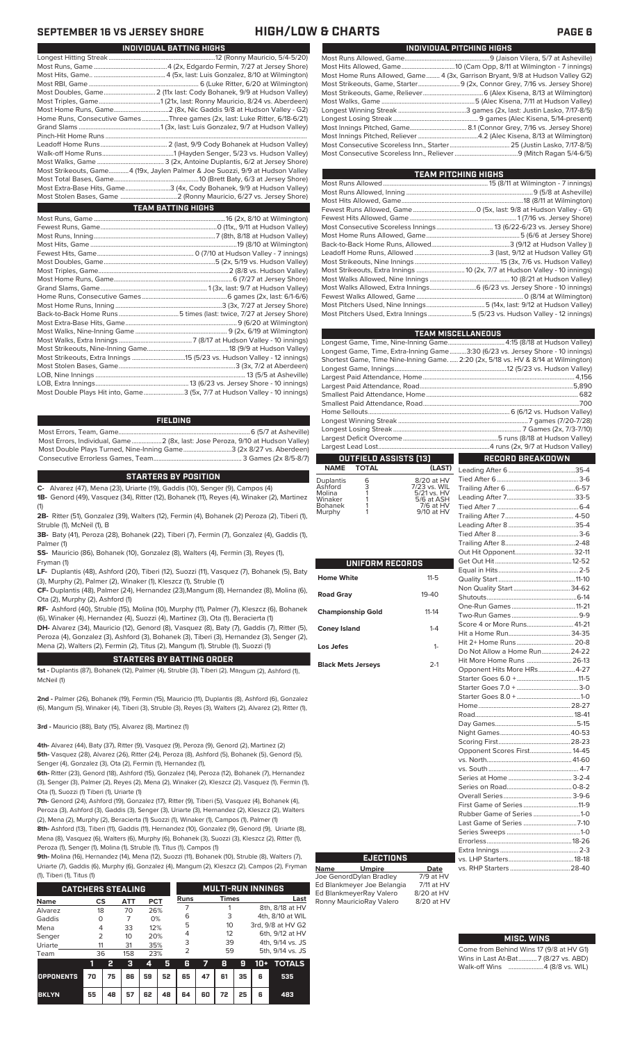| INDIVIDUAL PITCHING HIGHS                                                     |
|-------------------------------------------------------------------------------|
|                                                                               |
|                                                                               |
| Most Home Runs Allowed, Game 4 (3x, Garrison Bryant, 9/8 at Hudson Valley G2) |
| Most Strikeouts, Game, Starter 9 (2x, Connor Grey, 7/16 vs. Jersey Shore)     |
|                                                                               |
|                                                                               |
|                                                                               |
|                                                                               |
|                                                                               |
|                                                                               |
|                                                                               |
|                                                                               |

| TEAM PITCHING HIGHS                                                        |  |
|----------------------------------------------------------------------------|--|
|                                                                            |  |
|                                                                            |  |
|                                                                            |  |
|                                                                            |  |
|                                                                            |  |
|                                                                            |  |
|                                                                            |  |
|                                                                            |  |
|                                                                            |  |
|                                                                            |  |
| Most Strikeouts, Extra Innings  10 (2x, 7/7 at Hudson Valley - 10 innings) |  |
|                                                                            |  |
| Most Walks Allowed, Extra Innings 6 (6/23 vs. Jersey Shore - 10 innings)   |  |
|                                                                            |  |
|                                                                            |  |
| Most Pitchers Used, Extra Innings 5 (5/23 vs. Hudson Valley - 12 innings)  |  |
|                                                                            |  |

| <b>TEAM MISCELLANEOUS</b>                                                          |                  |
|------------------------------------------------------------------------------------|------------------|
|                                                                                    |                  |
| Longest Game, Time, Extra-Inning Game3:30 (6/23 vs. Jersey Shore - 10 innings)     |                  |
| Shortest Game, Time Nine-Inning Game.  2:20 (2x, 5/18 vs. HV & 8/14 at Wilmington) |                  |
|                                                                                    |                  |
|                                                                                    |                  |
|                                                                                    |                  |
|                                                                                    |                  |
|                                                                                    |                  |
|                                                                                    |                  |
|                                                                                    |                  |
|                                                                                    |                  |
|                                                                                    |                  |
|                                                                                    |                  |
| <b>OUTFIELD ASSISTS [13]</b>                                                       | RECORD BREAKDOWN |

| OUTFIELD ASSISTS [13] |                   |            |  |  |  |  |  |  |
|-----------------------|-------------------|------------|--|--|--|--|--|--|
|                       | <b>NAME TOTAL</b> | (LAST)     |  |  |  |  |  |  |
| <b>plantis</b>        | 6                 | 8/20 at HV |  |  |  |  |  |  |

| <b>Duplantis</b> | 6 | 8/20 at HV   |
|------------------|---|--------------|
| Ashford          | 3 | 7/23 vs. WIL |
| Molina           |   | 5/21 vs. HV  |
| Winaker          |   | 5/6 at ASH   |
| Bohanek          |   | 7/6 at HV    |
| Murphy           |   | 9/10 at HV   |
|                  |   |              |

| UNIFORM RECORDS           |           |  |
|---------------------------|-----------|--|
| Home White                | $11 - 5$  |  |
| <b>Road Gray</b>          | $19 - 40$ |  |
| <b>Championship Gold</b>  | $11 - 14$ |  |
| <b>Coney Island</b>       | $1 - 4$   |  |
| Los Jefes                 | $1-$      |  |
| <b>Black Mets Jerseys</b> | $2-1$     |  |

Ed Blankmeyer Joe Belangia 7/11 at HV Ed BlankmeyerRay Valero 8/20 at HV<br>Ronny MauricioRay Valero 8/20 at HV

Ronny MauricioRay Valero

| T)    |                               |  |
|-------|-------------------------------|--|
|       |                               |  |
|       |                               |  |
|       |                               |  |
| ストロハー |                               |  |
|       |                               |  |
|       |                               |  |
|       |                               |  |
|       |                               |  |
|       |                               |  |
|       |                               |  |
|       |                               |  |
|       |                               |  |
|       | Non Quality Start 34-62       |  |
|       |                               |  |
|       |                               |  |
|       |                               |  |
|       | Score 4 or More Runs 41-21    |  |
|       |                               |  |
|       | Hit 2+ Home Runs  20-8        |  |
|       | Do Not Allow a Home Run 24-22 |  |
|       | Hit More Home Runs  26-13     |  |
|       | Opponent Hits More HRs4-27    |  |
|       |                               |  |
|       |                               |  |
|       |                               |  |
|       |                               |  |
|       |                               |  |
|       |                               |  |
|       |                               |  |
|       |                               |  |
|       | Opponent Scores First 14-45   |  |
|       |                               |  |
|       |                               |  |
|       |                               |  |
|       |                               |  |
|       |                               |  |
|       |                               |  |
|       | Rubber Game of Series 1-0     |  |
|       | Last Game of Series 7-10      |  |
|       |                               |  |
|       |                               |  |
|       |                               |  |
|       |                               |  |
|       |                               |  |
|       |                               |  |

### **MISC. WINS**

| Come from Behind Wins 17 (9/8 at HV G1) |  |  |
|-----------------------------------------|--|--|
| Wins in Last At-Bat7 (8/27 vs. ABD)     |  |  |
| Walk-off Wins  4 (8/8 vs. WIL)          |  |  |

# **SEPTEMBER 16 VS JERSEY SHORE HIGH/LOW & CHARTS PAGE 6**

|                                                                               | Most Str |
|-------------------------------------------------------------------------------|----------|
|                                                                               | Most Str |
|                                                                               | Most Wa  |
|                                                                               | Longest  |
| Home Runs, Consecutive Games Three games (2x, last: Luke Ritter, 6/18-6/21)   | Longest  |
|                                                                               | Most Inn |
|                                                                               | Most Inn |
|                                                                               | Most Co  |
|                                                                               | Most Co  |
|                                                                               |          |
| Most Strikeouts, Game4 (19x, Jaylen Palmer & Joe Suozzi, 9/9 at Hudson Valley |          |
|                                                                               | Most Ru  |
| Most Extra-Base Hits, Game3 (4x, Cody Bohanek, 9/9 at Hudson Valley)          | Most Ru  |
|                                                                               | Most Hit |
| <b>TEAM BATTING HIGHS</b>                                                     | Fewest I |
|                                                                               | Fewest I |
|                                                                               | Most Co  |

| Most Double Plays Hit into, Game3 (5x, 7/7 at Hudson Valley - 10 innings) |
|---------------------------------------------------------------------------|
|                                                                           |

Most Hits, Game.. ........................................... 4 (5x, last: Luis Gonzalez, 8/10 at Wilmington)

### **FIELDING**

Most Errors, Team, Game...............................................................................6 (5/7 at Asheville) Most Errors, Individual, Game..................2 (8x, last: Jose Peroza, 9/10 at Hudson Valley) Most Double Plays Turned, Nine-Inning Game.............................3 (2x 8/27 vs. Aberdeen) Consecutive Errorless Games, Team.

### **STARTERS BY POSITION**

**C-** Alvarez (47), Mena (23), Uriarte (19), Gaddis (10), Senger (9), Campos (4) **1B-** Genord (49), Vasquez (34), Ritter (12), Bohanek (11), Reyes (4), Winaker (2), Martinez

(1) **2B-** Ritter (51), Gonzalez (39), Walters (12), Fermin (4), Bohanek (2) Peroza (2), Tiberi (1),

Struble (1), McNeil (1), B **3B-** Baty (41), Peroza (28), Bohanek (22), Tiberi (7), Fermin (7), Gonzalez (4), Gaddis (1), Palmer (1)

**SS-** Mauricio (86), Bohanek (10), Gonzalez (8), Walters (4), Fermin (3), Reyes (1), Fryman (1)

**LF-** Duplantis (48), Ashford (20), Tiberi (12), Suozzi (11), Vasquez (7), Bohanek (5), Baty (3), Murphy (2), Palmer (2), Winaker (1), Kleszcz (1), Struble (1)

**CF-** Duplantis (48), Palmer (24), Hernandez (23),Mangum (8), Hernandez (8), Molina (6), Ota (2), Murphy (2), Ashford (1)

**RF-** Ashford (40), Struble (15), Molina (10), Murphy (11), Palmer (7), Kleszcz (6), Bohanek (6), Winaker (4), Hernandez (4), Suozzi (4), Martinez (3), Ota (1), Beracierta (1)

**DH-** Alvarez (34), Mauricio (12), Genord (8), Vasquez (8), Baty (7), Gaddis (7), Ritter (5), Peroza (4), Gonzalez (3), Ashford (3), Bohanek (3), Tiberi (3), Hernandez (3), Senger (2), Mena (2), Walters (2), Fermin (2), Titus (2), Mangum (1), Struble (1), Suozzi (1)

### **STARTERS BY BATTING ORDER**

**1st -** Duplantis (87), Bohanek (12), Palmer (4), Struble (3), Tiberi (2), Mangum (2), Ashford (1), McNeil (1)

**2nd -** Palmer (26), Bohanek (19), Fermin (15), Mauricio (11), Duplantis (8), Ashford (6), Gonzalez (6), Mangum (5), Winaker (4), Tiberi (3), Struble (3), Reyes (3), Walters (2), Alvarez (2), Ritter (1),

**3rd -** Mauricio (88), Baty (15), Alvarez (8), Martinez (1)

**4th-** Alvarez (44), Baty (37), Ritter (9), Vasquez (9), Peroza (9), Genord (2), Martinez (2) **5th-** Vasquez (28), Alvarez (26), Ritter (24), Peroza (8), Ashford (5), Bohanek (5), Genord (5), Senger (4), Gonzalez (3), Ota (2), Fermin (1), Hernandez (1),

**6th-** Ritter (23), Genord (18), Ashford (15), Gonzalez (14), Peroza (12), Bohanek (7), Hernandez (3), Senger (3), Palmer (2), Reyes (2), Mena (2), Winaker (2), Kleszcz (2), Vasquez (1), Fermin (1), Ota (1), Suozzi (1) Tiberi (1), Uriarte (1)

**7th-** Genord (24), Ashford (19), Gonzalez (17), Ritter (9), Tiberi (5), Vasquez (4), Bohanek (4), Peroza (3), Ashford (3), Gaddis (3), Senger (3), Uriarte (3), Hernandez (2), Kleszcz (2), Walters (2), Mena (2), Murphy (2), Beracierta (1) Suozzi (1), Winaker (1), Campos (1), Palmer (1)

**8th-** Ashford (13), Tiberi (11), Gaddis (11), Hernandez (10), Gonzalez (9), Genord (9), Uriarte (8), Mena (8), Vasquez (6), Walters (6), Murphy (6), Bohanek (3), Suozzi (3), Kleszcz (2), Ritter (1), Peroza (1), Senger (1), Molina (1), Struble (1), Titus (1), Campos (1)

**9th-** Molina (16), Hernandez (14), Mena (12), Suozzi (11), Bohanek (10), Struble (8), Walters (7), Uriarte (7), Gaddis (6), Murphy (6), Gonzalez (4), Mangum (2), Kleszcz (2), Campos (2), Fryman (1), Tiberi (1), Titus (1)

|                                               | $\cdots$             |    |     |     |                          |                |    |              |    |                   |                  |  |
|-----------------------------------------------|----------------------|----|-----|-----|--------------------------|----------------|----|--------------|----|-------------------|------------------|--|
| <b>CATCHERS STEALING</b>                      |                      |    |     |     | <b>MULTI-RUN INNINGS</b> |                |    |              |    |                   |                  |  |
| <b>PCT</b><br><b>ATT</b><br>CS<br><b>Name</b> |                      |    |     |     |                          | <b>Runs</b>    |    | <b>Times</b> |    |                   |                  |  |
| Alvarez                                       | 18                   |    | 70  | 26% |                          |                |    |              |    |                   | 8th, 8/18 at HV  |  |
| Gaddis                                        | $\Omega$             |    | 7   | 0%  |                          | 6              |    | 3            |    | 4th, 8/10 at WIL  |                  |  |
| Mena                                          | 4                    |    | 33  | 12% |                          | 5              |    | 10           |    | 3rd, 9/8 at HV G2 |                  |  |
| Senger                                        | $\mathcal{P}$        |    | 10  | 20% |                          | 4              |    | 12           |    | 6th, 9/12 at HV   |                  |  |
| Uriarte                                       | 11                   |    | 31  | 35% |                          | 3              |    | 39           |    | 4th, 9/14 vs. JS  |                  |  |
| Team                                          | 36                   |    | 158 | 23% |                          | $\overline{2}$ |    | 59           |    |                   | 5th, 9/14 vs. JS |  |
|                                               | 1                    | 2  | з   | 4   | 5                        | G              | 7  | 8            | 9  | $10+$             | <b>TOTALS</b>    |  |
| <b>OPPONENTS</b><br>70                        |                      | 75 | 86  | 59  | 52                       | 65             | 47 | 61           | 35 | 6                 | 535              |  |
| <b>BKLYN</b>                                  | 55<br>48<br>57<br>62 |    |     | 48  | 64                       | 60             | 72 | 25           | 6  | 483               |                  |  |

**Name Umpire Date** Joe GenordDylan Bradley 7/9 at HV **EJECTIONS**

Longest Hitting Streak ................................................................12 (Ronny Mauricio, 5/4-5/20)

| INDIVIDUAL BATTING HIGHS | <b>INDIVIDUA</b>                               |                             |
|--------------------------|------------------------------------------------|-----------------------------|
|                          |                                                | Most Runs Allowed, Game     |
|                          |                                                | Most Hits Allowed, Game     |
| Most Hits Game           | 4 (5x last: Luis Gonzalez, 8/10 at Wilmington) | Most Home Runs Allowed Game |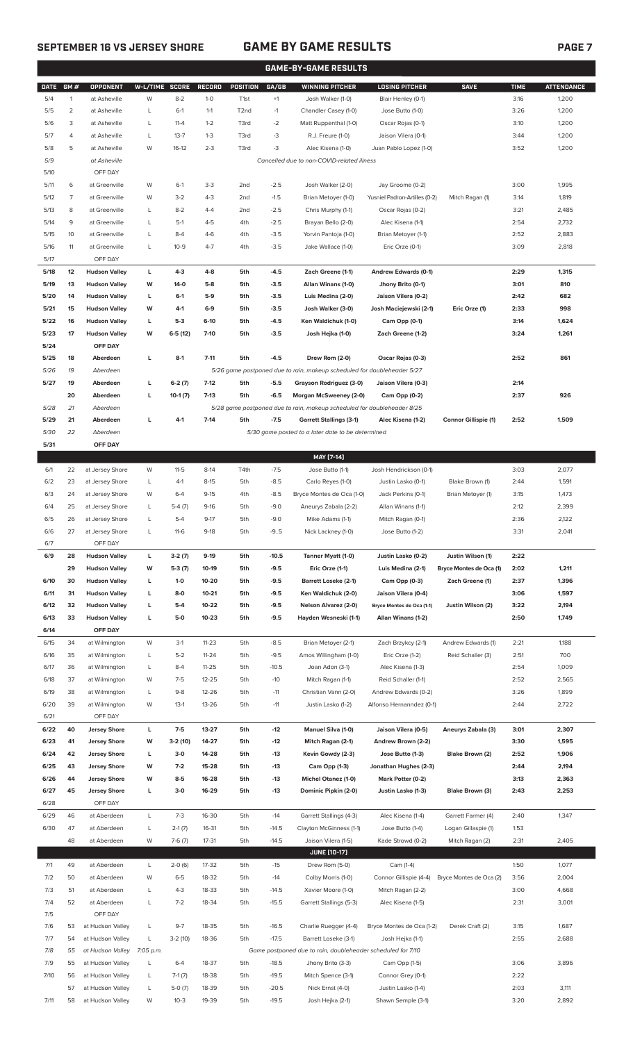# **SEPTEMBER 16 VS JERSEY SHORE GAME BY GAME RESULTS PAGE 7**

|             |                |                      |                |           |               |                   |             | GAME-BY-GAME RESULTS                                                    |                               |                         |             |                   |
|-------------|----------------|----------------------|----------------|-----------|---------------|-------------------|-------------|-------------------------------------------------------------------------|-------------------------------|-------------------------|-------------|-------------------|
| <b>DATE</b> | GM#            | <b>OPPONENT</b>      | W-L/TIME SCORE |           | <b>RECORD</b> | POSITION          | GA/GB       | <b>WINNING PITCHER</b>                                                  | <b>LOSING PITCHER</b>         | <b>SAVE</b>             | <b>TIME</b> | <b>ATTENDANCE</b> |
| 5/4         | 1              | at Asheville         | W              | $8 - 2$   | $1 - 0$       | T <sub>1st</sub>  | $^{\rm +1}$ | Josh Walker (1-0)                                                       | Blair Henley (0-1)            |                         | 3:16        | 1,200             |
| 5/5         | $\overline{2}$ | at Asheville         | L              | $6-1$     | $1 - 1$       | T <sub>2</sub> nd | $-1$        | Chandler Casey (1-0)                                                    | Jose Butto (1-0)              |                         | 3:26        | 1,200             |
| 5/6         | 3              | at Asheville         | L              | $11 - 4$  | $1 - 2$       | T3rd              | $-2$        | Matt Ruppenthal (1-0)                                                   | Oscar Rojas (0-1)             |                         | 3:10        | 1,200             |
|             |                |                      |                |           |               |                   |             |                                                                         |                               |                         |             |                   |
| 5/7         | 4              | at Asheville         | L              | $13 - 7$  | $1 - 3$       | T3rd              | -3          | R.J. Freure (1-0)                                                       | Jaison Vilera (0-1)           |                         | 3:44        | 1,200             |
| 5/8         | 5              | at Asheville         | W              | $16-12$   | $2 - 3$       | T3rd              | -3          | Alec Kisena (1-0)                                                       | Juan Pablo Lopez (1-0)        |                         | 3:52        | 1,200             |
| 5/9         |                | at Asheville         |                |           |               |                   |             | Cancelled due to non-COVID-related illness                              |                               |                         |             |                   |
| 5/10        |                | OFF DAY              |                |           |               |                   |             |                                                                         |                               |                         |             |                   |
| 5/11        | 6              | at Greenville        | W              | $6-1$     | $3-3$         | 2 <sub>nd</sub>   | $-2.5$      | Josh Walker (2-0)                                                       | Jay Groome (0-2)              |                         | 3:00        | 1,995             |
| 5/12        | $\overline{7}$ | at Greenville        | W              | $3 - 2$   | $4 - 3$       | 2 <sub>nd</sub>   | $-1.5$      | Brian Metoyer (1-0)                                                     | Yusniel Padron-Artilles (0-2) | Mitch Ragan (1)         | 3:14        | 1,819             |
| 5/13        | 8              | at Greenville        | L              | $8 - 2$   | $4 - 4$       | 2 <sub>nd</sub>   | $-2.5$      | Chris Murphy (1-1)                                                      | Oscar Rojas (0-2)             |                         | 3:21        | 2,485             |
| 5/14        | 9              | at Greenville        | L              | $5-1$     | $4 - 5$       | 4th               | $-2.5$      | Brayan Bello (2-0)                                                      | Alec Kisena (1-1)             |                         | 2:54        | 2,732             |
| 5/15        | 10             | at Greenville        | L              | $8 - 4$   | $4-6$         | 4th               | $-3.5$      | Yorvin Pantoja (1-0)                                                    | Brian Metoyer (1-1)           |                         | 2:52        | 2,883             |
| 5/16        | 11             | at Greenville        | L              | $10-9$    | $4 - 7$       | 4th               | $-3.5$      | Jake Wallace (1-0)                                                      | Eric Orze (0-1)               |                         | 3:09        | 2,818             |
| 5/17        |                | OFF DAY              |                |           |               |                   |             |                                                                         |                               |                         |             |                   |
| 5/18        | 12             | <b>Hudson Valley</b> | L              | $4 - 3$   | 4-8           | 5th               | $-4.5$      | Zach Greene (1-1)                                                       | Andrew Edwards (0-1)          |                         | 2:29        | 1,315             |
| 5/19        | 13             |                      | W              | $14-0$    | $5-8$         | 5th               | $-3.5$      |                                                                         |                               |                         | 3:01        | 810               |
|             |                | <b>Hudson Valley</b> |                |           |               |                   |             | Allan Winans (1-0)                                                      | Jhony Brito (0-1)             |                         |             |                   |
| 5/20        | 14             | <b>Hudson Valley</b> | L              | $6-1$     | 5-9           | 5th               | $-3.5$      | Luis Medina (2-0)                                                       | Jaison Vilera (0-2)           |                         | 2:42        | 682               |
| 5/21        | 15             | <b>Hudson Valley</b> | W              | $4-1$     | $6-9$         | 5th               | $-3.5$      | Josh Walker (3-0)                                                       | Josh Maciejewski (2-1)        | Eric Orze (1)           | 2:33        | 998               |
| 5/22        | 16             | <b>Hudson Valley</b> | L              | $5-3$     | $6-10$        | 5th               | $-4.5$      | Ken Waldichuk (1-0)                                                     | Cam Opp (0-1)                 |                         | 3:14        | 1,624             |
| 5/23        | 17             | <b>Hudson Valley</b> | W              | $6-5(12)$ | $7 - 10$      | 5th               | $-3.5$      | Josh Hejka (1-0)                                                        | Zach Greene (1-2)             |                         | 3:24        | 1,261             |
| 5/24        |                | OFF DAY              |                |           |               |                   |             |                                                                         |                               |                         |             |                   |
| 5/25        | 18             | Aberdeen             | L              | $8-1$     | $7 - 11$      | 5th               | $-4.5$      | Drew Rom (2-0)                                                          | Oscar Rojas (0-3)             |                         | 2:52        | 861               |
| 5/26        | 19             | Aberdeen             |                |           |               |                   |             | 5/26 game postponed due to rain, makeup scheduled for doubleheader 5/27 |                               |                         |             |                   |
| 5/27        | 19             | Aberdeen             | L              | $6-2(7)$  | $7-12$        | 5th               | $-5.5$      | Grayson Rodriguez (3-0)                                                 | Jaison Vilera (0-3)           |                         | 2:14        |                   |
|             | 20             | Aberdeen             | г              | $10-1(7)$ | $7-13$        | 5th               | $-6.5$      | Morgan McSweeney (2-0)                                                  | Cam Opp (0-2)                 |                         | 2:37        | 926               |
| 5/28        | 21             | Aberdeen             |                |           |               |                   |             | 5/28 game postponed due to rain, makeup scheduled for doubleheader 8/25 |                               |                         |             |                   |
| 5/29        | 21             | Aberdeen             | г              | $4-1$     | $7-14$        | 5th               | $-7.5$      | <b>Garrett Stallings (3-1)</b>                                          | Alec Kisena (1-2)             | Connor Gillispie (1)    | 2:52        | 1,509             |
| 5/30        | 22             | Aberdeen             |                |           |               |                   |             | 5/30 game posted to a later date to be determined                       |                               |                         |             |                   |
| 5/31        |                | OFF DAY              |                |           |               |                   |             |                                                                         |                               |                         |             |                   |
|             |                |                      |                |           |               |                   |             |                                                                         |                               |                         |             |                   |
|             |                |                      |                |           |               |                   |             | MAY [7-14]                                                              |                               |                         |             |                   |
| 6/1         | 22             | at Jersey Shore      | W              | $11 - 5$  | $8-14$        | T4th              | $-7.5$      | Jose Butto (1-1)                                                        | Josh Hendrickson (0-1)        |                         | 3:03        | 2,077             |
| 6/2         | 23             | at Jersey Shore      | L              | $4-1$     | $8-15$        | 5th               | $-8.5$      | Carlo Reyes (1-0)                                                       | Justin Lasko (0-1)            | Blake Brown (1)         | 2:44        | 1,591             |
| 6/3         | 24             | at Jersey Shore      | W              | $6 - 4$   | $9 - 15$      | 4th               | $-8.5$      | Bryce Montes de Oca (1-0)                                               | Jack Perkins (0-1)            | Brian Metoyer (1)       | 3:15        | 1,473             |
| 6/4         | 25             | at Jersey Shore      | L              | $5-4(7)$  | $9-16$        | 5th               | $-9.0$      | Aneurys Zabala (2-2)                                                    | Allan Winans (1-1)            |                         | 2:12        | 2,399             |
| 6/5         | 26             | at Jersey Shore      | L              | $5 - 4$   | $9-17$        | 5th               | $-9.0$      | Mike Adams (1-1)                                                        | Mitch Ragan (0-1)             |                         | 2:36        | 2,122             |
| 6/6         | 27             | at Jersey Shore      | L              | $11-6$    | $9-18$        | 5th               | -95         | Nick Lackney (1-0)                                                      | Jose Butto (1-2)              |                         | 3:31        | 2,041             |
| 6/7         |                | OFF DAY              |                |           |               |                   |             |                                                                         |                               |                         |             |                   |
| 6/9         | 28             | <b>Hudson Valley</b> | L              | $3-2(7)$  | $9-19$        | 5th               | $-10.5$     | Tanner Myatt (1-0)                                                      | Justin Lasko (0-2)            | Justin Wilson (1)       | 2:22        |                   |
|             | 29             | <b>Hudson Valley</b> | W              | $5-3(7)$  | 10-19         | 5th               | $-9.5$      | Eric Orze (1-1)                                                         | Luis Medina (2-1)             | Bryce Montes de Oca (1) | 2:02        | 1,211             |
| 6/10        | 30             | <b>Hudson Valley</b> | L              | $1-0$     | 10-20         | 5th               | $-9.5$      | <b>Barrett Loseke (2-1)</b>                                             | Cam Opp (0-3)                 | Zach Greene (1)         | 2:37        | 1,396             |
| 6/11        | 31             | <b>Hudson Valley</b> | L              | 8-0       | 10-21         | 5th               | $-9.5$      | Ken Waldichuk (2-0)                                                     | Jaison Vilera (0-4)           |                         | 3:06        | 1,597             |
| 6/12        | 32             | <b>Hudson Valley</b> | г              | $5-4$     | 10-22         | 5th               | $-9.5$      | Nelson Alvarez (2-0)                                                    | Bryce Montes de Oca (1-1)     | Justin Wilson (2)       | 3:22        | 2,194             |
| 6/13        | 33             | <b>Hudson Valley</b> | г              | $5-0$     | $10 - 23$     | 5th               | $-9.5$      | Hayden Wesneski (1-1)                                                   | Allan Winans (1-2)            |                         | 2:50        | 1,749             |
| 6/14        |                | OFF DAY              |                |           |               |                   |             |                                                                         |                               |                         |             |                   |
|             | 34             | at Wilmington        |                |           |               |                   |             |                                                                         |                               |                         |             |                   |
| 6/15        |                |                      | W              | $3-1$     | $11 - 23$     | 5th               | $-8.5$      | Brian Metoyer (2-1)                                                     | Zach Brzykcy (2-1)            | Andrew Edwards (1)      | 2:21        | 1,188             |
| 6/16        | 35             | at Wilmington        | L              | $5 - 2$   | $11 - 24$     | 5th               | $-9.5$      | Amos Willingham (1-0)                                                   | Eric Orze (1-2)               | Reid Schaller (3)       | 2:51        | 700               |
| 6/17        | 36             | at Wilmington        | L              | $8 - 4$   | $11 - 25$     | 5th               | $-10.5$     | Joan Adon (3-1)                                                         | Alec Kisena (1-3)             |                         | 2:54        | 1,009             |
| 6/18        | 37             | at Wilmington        | W              | $7 - 5$   | $12 - 25$     | 5th               | $-10$       | Mitch Ragan (1-1)                                                       | Reid Schaller (1-1)           |                         | 2:52        | 2,565             |
| 6/19        | 38             | at Wilmington        | L              | $9 - 8$   | 12-26         | 5th               | $-11$       | Christian Vann (2-0)                                                    | Andrew Edwards (0-2)          |                         | 3:26        | 1,899             |
| 6/20        | 39             | at Wilmington        | W              | $13-1$    | 13-26         | 5th               | $-11$       | Justin Lasko (1-2)                                                      | Alfonso Hernanndez (0-1)      |                         | 2:44        | 2,722             |
| 6/21        |                | OFF DAY              |                |           |               |                   |             |                                                                         |                               |                         |             |                   |
| 6/22        | 40             | <b>Jersey Shore</b>  | L              | $7 - 5$   | 13-27         | 5th               | $-12$       | Manuel Silva (1-0)                                                      | Jaison Vilera (0-5)           | Aneurys Zabala (3)      | 3:01        | 2,307             |
| 6/23        | 41             | <b>Jersey Shore</b>  | W              | 3-2 (10)  | 14-27         | 5th               | -12         | Mitch Ragan (2-1)                                                       | Andrew Brown (2-2)            |                         | 3:30        | 1,595             |
| 6/24        | 42             | <b>Jersey Shore</b>  | L              | 3-0       | 14-28         | 5th               | $-13$       | Kevin Gowdy (2-3)                                                       | Jose Butto (1-3)              | Blake Brown (2)         | 2:52        | 1,906             |
| 6/25        | 43             | <b>Jersey Shore</b>  | W              | $7-2$     | 15-28         | 5th               | $-13$       | Cam Opp (1-3)                                                           | Jonathan Hughes (2-3)         |                         | 2:44        | 2,194             |
| 6/26        | 44             | <b>Jersey Shore</b>  | W              | $8 - 5$   | 16-28         | 5th               | $-13$       | <b>Michel Otanez (1-0)</b>                                              | Mark Potter (0-2)             |                         | 3:13        | 2,363             |
| 6/27        | 45             | <b>Jersey Shore</b>  | L              | $3-0$     | 16-29         | 5th               | $-13$       | Dominic Pipkin (2-0)                                                    | Justin Lasko (1-3)            | Blake Brown (3)         | 2:43        | 2,253             |
| 6/28        |                | OFF DAY              |                |           |               |                   |             |                                                                         |                               |                         |             |                   |
| 6/29        | 46             | at Aberdeen          | L              | $7 - 3$   | 16-30         | 5th               | $-14$       | Garrett Stallings (4-3)                                                 | Alec Kisena (1-4)             | Garrett Farmer (4)      | 2:40        | 1,347             |
| 6/30        | 47             | at Aberdeen          | L              | $2-1(7)$  | 16-31         | 5th               | $-14.5$     | Clayton McGinness (1-1)                                                 | Jose Butto (1-4)              | Logan Gillaspie (1)     | 1:53        |                   |
|             | 48             | at Aberdeen          | W              | $7-6(7)$  | 17-31         | 5th               | $-14.5$     | Jaison Vilera (1-5)                                                     | Kade Strowd (0-2)             |                         | 2:31        | 2,405             |
|             |                |                      |                |           |               |                   |             |                                                                         |                               | Mitch Ragan (2)         |             |                   |
|             |                |                      |                |           |               |                   |             | <b>JUNE (10-17)</b>                                                     |                               |                         |             |                   |
| 7/1         | 49             | at Aberdeen          | L              | $2-0(6)$  | 17-32         | 5th               | $-15$       | Drew Rom (5-0)                                                          | Cam (1-4)                     |                         | 1:50        | 1,077             |
| 7/2         | 50             | at Aberdeen          | W              | $6 - 5$   | 18-32         | 5th               | $-14$       | Colby Morris (1-0)                                                      | Connor Gillispie (4-4)        | Bryce Montes de Oca (2) | 3:56        | 2,004             |
| 7/3         | 51             | at Aberdeen          | L              | $4 - 3$   | 18-33         | 5th               | $-14.5$     | Xavier Moore (1-0)                                                      | Mitch Ragan (2-2)             |                         | 3:00        | 4,668             |
| 7/4         | 52             | at Aberdeen          | L              | $7 - 2$   | 18-34         | 5th               | $-15.5$     | Garrett Stallings (5-3)                                                 | Alec Kisena (1-5)             |                         | 2:31        | 3,001             |
| 7/5         |                | OFF DAY              |                |           |               |                   |             |                                                                         |                               |                         |             |                   |
| 7/6         | 53             | at Hudson Valley     | L              | $9 - 7$   | 18-35         | 5th               | $-16.5$     | Charlie Ruegger (4-4)                                                   | Bryce Montes de Oca (1-2)     | Derek Craft (2)         | 3:15        | 1,687             |
| 7/7         | 54             | at Hudson Valley     | L              | $3-2(10)$ | 18-36         | 5th               | $-17.5$     | Barrett Loseke (3-1)                                                    | Josh Hejka (1-1)              |                         | 2:55        | 2,688             |
| 7/8         | 55             | at Hudson Valley     | 7:05 p.m.      |           |               |                   |             | Game postponed due to rain, doubleheader scheduled for 7/10             |                               |                         |             |                   |
| 7/9         | 55             | at Hudson Valley     | L              | $6 - 4$   | 18-37         | 5th               | $-18.5$     | Jhony Brito (3-3)                                                       | Cam Opp (1-5)                 |                         | 3:06        | 3,896             |
| 7/10        | 56             | at Hudson Valley     | L              | $7-1(7)$  | 18-38         | 5th               | $-19.5$     | Mitch Spence (3-1)                                                      | Connor Grey (0-1)             |                         | 2:22        |                   |
|             | 57             | at Hudson Valley     | L              | $5-0(7)$  | 18-39         | 5th               | $-20.5$     | Nick Ernst (4-0)                                                        | Justin Lasko (1-4)            |                         | 2:03        | 3,111             |

7/11 58 at Hudson Valley W 10-3 19-39 5th -19.5 Josh Hejka (2-1) Shawn Semple (3-1) 3:20 2,892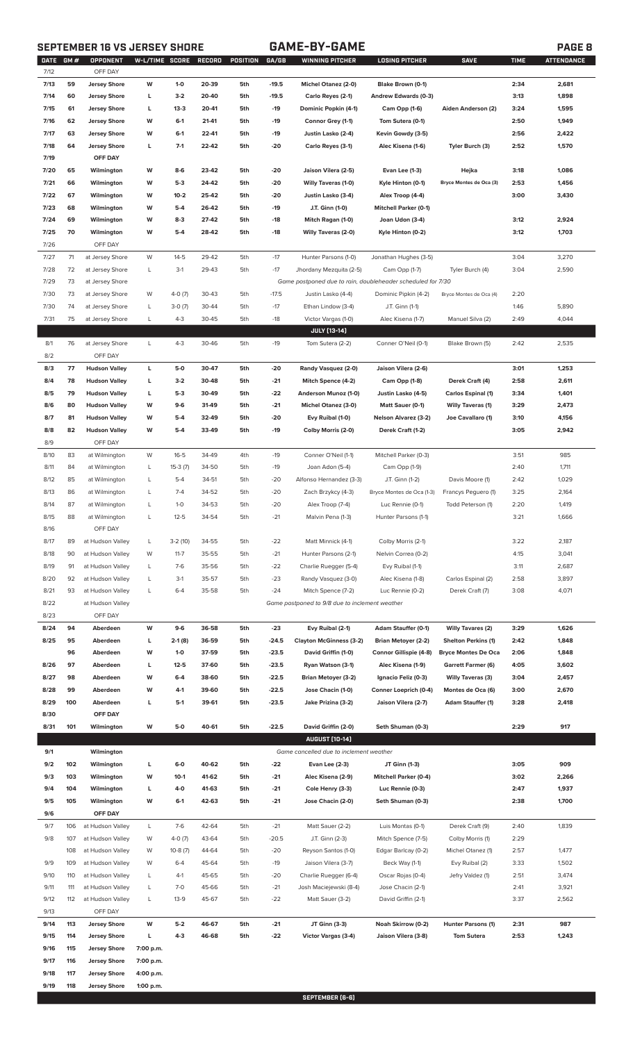# **SEPTEMBER 16 VS JERSEY SHORE GAME-BY-GAME PAGE 8**

|--|

| DATE | GM# | OPPONENT             | W-L/TIME SCORE |           | RECORD | POSITION | GA/GB   | <b>WINNING PITCHER</b>                                      | <b>LOSING PITCHER</b>        | <b>SAVE</b>                | <b>TIME</b> | <b>ATTENDANCE</b> |
|------|-----|----------------------|----------------|-----------|--------|----------|---------|-------------------------------------------------------------|------------------------------|----------------------------|-------------|-------------------|
| 7/12 |     | OFF DAY              |                |           |        |          |         |                                                             |                              |                            |             |                   |
| 7/13 | 59  | <b>Jersey Shore</b>  | W              | $1-0$     | 20-39  | 5th      | $-19.5$ | Michel Otanez (2-0)                                         | Blake Brown (0-1)            |                            | 2:34        | 2,681             |
| 7/14 | 60  | Jersey Shore         | г              | $3-2$     | 20-40  | 5th      | $-19.5$ | Carlo Reyes (2-1)                                           | Andrew Edwards (0-3)         |                            | 3:13        | 1,898             |
| 7/15 | 61  | <b>Jersey Shore</b>  | г              | $13-3$    | 20-41  | 5th      | $-19$   | Dominic Popkin (4-1)                                        | Cam Opp (1-6)                | Aiden Anderson (2)         | 3:24        | 1,595             |
| 7/16 | 62  | Jersey Shore         | W              | $6-1$     | 21-41  | 5th      | $-19$   | Connor Grey (1-1)                                           | Tom Sutera (0-1)             |                            | 2:50        | 1,949             |
| 7/17 | 63  | Jersey Shore         | W              | $6-1$     | 22-41  | 5th      | $-19$   | Justin Lasko (2-4)                                          | Kevin Gowdy (3-5)            |                            | 2:56        | 2,422             |
| 7/18 | 64  | Jersey Shore         | г              | $7-1$     | 22-42  | 5th      | $-20$   | Carlo Reyes (3-1)                                           | Alec Kisena (1-6)            | Tyler Burch (3)            | 2:52        | 1,570             |
| 7/19 |     | OFF DAY              |                |           |        |          |         |                                                             |                              |                            |             |                   |
|      |     |                      |                |           |        |          |         |                                                             |                              |                            |             |                   |
| 7/20 | 65  | Wilmington           | W              | $8 - 6$   | 23-42  | 5th      | $-20$   | Jaison Vilera (2-5)                                         | Evan Lee (1-3)               | Hejka                      | 3:18        | 1,086             |
| 7/21 | 66  | Wilmington           | W              | $5-3$     | 24-42  | 5th      | $-20$   | <b>Willy Taveras (1-0)</b>                                  | Kyle Hinton (0-1)            | Bryce Montes de Oca (3)    | 2:53        | 1,456             |
| 7/22 | 67  | Wilmington           | W              | $10-2$    | 25-42  | 5th      | $-20$   | Justin Lasko (3-4)                                          | Alex Troop (4-4)             |                            | 3:00        | 3,430             |
| 7/23 | 68  | Wilmington           | W              | $5-4$     | 26-42  | 5th      | $-19$   | J.T. Ginn (1-0)                                             | <b>Mitchell Parker (0-1)</b> |                            |             |                   |
| 7/24 | 69  | Wilmington           | W              | $8-3$     | 27-42  | 5th      | $-18$   | Mitch Ragan (1-0)                                           | Joan Udon (3-4)              |                            | 3:12        | 2,924             |
| 7/25 | 70  | Wilmington           | W              | $5-4$     | 28-42  | 5th      | $-18$   | <b>Willy Taveras (2-0)</b>                                  | Kyle Hinton (0-2)            |                            | 3:12        | 1,703             |
| 7/26 |     | OFF DAY              |                |           |        |          |         |                                                             |                              |                            |             |                   |
| 7/27 | 71  | at Jersey Shore      | W              | $14 - 5$  | 29-42  | 5th      | $-17$   | Hunter Parsons (1-0)                                        | Jonathan Hughes (3-5)        |                            | 3:04        | 3,270             |
|      |     |                      |                |           |        |          |         |                                                             |                              |                            |             |                   |
| 7/28 | 72  | at Jersey Shore      | L              | $3-1$     | 29-43  | 5th      | $-17$   | Jhordany Mezquita (2-5)                                     | Cam Opp (1-7)                | Tyler Burch (4)            | 3:04        | 2,590             |
| 7/29 | 73  | at Jersey Shore      |                |           |        |          |         | Game postponed due to rain, doubleheader scheduled for 7/30 |                              |                            |             |                   |
| 7/30 | 73  | at Jersey Shore      | W              | $4-0(7)$  | 30-43  | 5th      | $-17.5$ | Justin Lasko (4-4)                                          | Dominic Pipkin (4-2)         | Bryce Montes de Oca (4)    | 2:20        |                   |
| 7/30 | 74  | at Jersey Shore      | L              | $3-0(7)$  | 30-44  | 5th      | $-17$   | Ethan Lindow (3-4)                                          | J.T. Ginn (1-1)              |                            | 1:46        | 5,890             |
| 7/31 | 75  | at Jersey Shore      | L              | $4 - 3$   | 30-45  | 5th      | $-18$   | Victor Vargas (1-0)                                         | Alec Kisena (1-7)            | Manuel Silva (2)           | 2:49        | 4,044             |
|      |     |                      |                |           |        |          |         | <b>JULY [13-14]</b>                                         |                              |                            |             |                   |
| 8/1  | 76  | at Jersey Shore      | L              | $4 - 3$   | 30-46  | 5th      | $-19$   | Tom Sutera (2-2)                                            | Conner O'Neil (0-1)          | Blake Brown (5)            | 2:42        | 2,535             |
| 8/2  |     | OFF DAY              |                |           |        |          |         |                                                             |                              |                            |             |                   |
|      |     |                      |                |           |        |          |         |                                                             |                              |                            |             |                   |
| 8/3  | 77  | <b>Hudson Valley</b> | L              | $5-0$     | 30-47  | 5th      | -20     | Randy Vasquez (2-0)                                         | Jaison Vilera (2-6)          |                            | 3:01        | 1,253             |
| 8/4  | 78  | <b>Hudson Valley</b> | г              | $3-2$     | 30-48  | 5th      | $-21$   | Mitch Spence (4-2)                                          | Cam Opp (1-8)                | Derek Craft (4)            | 2:58        | 2,611             |
| 8/5  | 79  | <b>Hudson Valley</b> | г              | $5-3$     | 30-49  | 5th      | $-22$   | Anderson Munoz (1-0)                                        | Justin Lasko (4-5)           | <b>Carlos Espinal (1)</b>  | 3:34        | 1,401             |
| 8/6  | 80  | <b>Hudson Valley</b> | W              | $9-6$     | 31-49  | 5th      | $-21$   | Michel Otanez (3-0)                                         | Matt Sauer (0-1)             | <b>Willy Taveras (1)</b>   | 3:29        | 2,473             |
| 8/7  | 81  | <b>Hudson Valley</b> | W              | $5-4$     | 32-49  | 5th      | $-20$   | Evy Ruibal (1-0)                                            | <b>Nelson Alvarez (3-2)</b>  | Joe Cavallaro (1)          | 3:10        | 4,156             |
| 8/8  | 82  | <b>Hudson Valley</b> | W              | $5-4$     | 33-49  | 5th      | $-19$   | Colby Morris (2-0)                                          | Derek Craft (1-2)            |                            | 3:05        | 2,942             |
| 8/9  |     | OFF DAY              |                |           |        |          |         |                                                             |                              |                            |             |                   |
| 8/10 | 83  | at Wilmington        | W              | $16 - 5$  | 34-49  | 4th      | $-19$   | Conner O'Neil (1-1)                                         | Mitchell Parker (0-3)        |                            | 3:51        | 985               |
| 8/11 | 84  |                      |                |           | 34-50  | 5th      | $-19$   | Joan Adon (5-4)                                             |                              |                            | 2:40        | 1,711             |
|      |     | at Wilmington        | L              | $15-3(7)$ |        |          |         |                                                             | Cam Opp (1-9)                |                            |             |                   |
| 8/12 | 85  | at Wilmington        | L              | $5-4$     | 34-51  | 5th      | $-20$   | Alfonso Hernandez (3-3)                                     | J.T. Ginn (1-2)              | Davis Moore (1)            | 2:42        | 1,029             |
| 8/13 | 86  | at Wilmington        | L              | $7-4$     | 34-52  | 5th      | $-20$   | Zach Brzykcy (4-3)                                          | Bryce Montes de Oca (1-3)    | Francys Peguero (1)        | 3:25        | 2,164             |
| 8/14 | 87  | at Wilmington        | L              | $1-0$     | 34-53  | 5th      | $-20$   | Alex Troop (7-4)                                            | Luc Rennie (0-1)             | Todd Peterson (1)          | 2:20        | 1,419             |
| 8/15 | 88  | at Wilmington        | L              | $12 - 5$  | 34-54  | 5th      | $-21$   | Malvin Pena (1-3)                                           | Hunter Parsons (1-1)         |                            | 3:21        | 1,666             |
| 8/16 |     | OFF DAY              |                |           |        |          |         |                                                             |                              |                            |             |                   |
| 8/17 | 89  | at Hudson Valley     | L              | $3-2(10)$ | 34-55  | 5th      | $-22$   | Matt Minnick (4-1)                                          | Colby Morris (2-1)           |                            | 3:22        | 2,187             |
| 8/18 | 90  | at Hudson Valley     | W              | $11 - 7$  | 35-55  | 5th      | $-21$   | Hunter Parsons (2-1)                                        | Nelvin Correa (0-2)          |                            | 4:15        | 3,041             |
|      |     |                      |                |           |        |          |         |                                                             |                              |                            |             |                   |
| 8/19 | 91  | at Hudson Valley     | L              | $7-6$     | 35-56  | 5th      | $-22$   | Charlie Ruegger (5-4)                                       | Evy Ruibal (1-1)             |                            | 3:11        | 2,687             |
| 8/20 | 92  | at Hudson Valley     | L              | $3-1$     | 35-57  | 5th      | $-23$   | Randy Vasquez (3-0)                                         | Alec Kisena (1-8)            | Carlos Espinal (2)         | 2:58        | 3,897             |
| 8/21 | 93  | at Hudson Valley     | L              | $6 - 4$   | 35-58  | 5th      | $-24$   | Mitch Spence (7-2)                                          | Luc Rennie (0-2)             | Derek Craft (7)            | 3:08        | 4,071             |
| 8/22 |     | at Hudson Valley     |                |           |        |          |         | Game postponed to 9/8 due to inclement weather              |                              |                            |             |                   |
| 8/23 |     | OFF DAY              |                |           |        |          |         |                                                             |                              |                            |             |                   |
| 8/24 | 94  | Aberdeen             | W              | $9-6$     | 36-58  | 5th      | $-23$   | Evy Ruibal (2-1)                                            | Adam Stauffer (0-1)          | <b>Willy Tavares (2)</b>   | 3:29        | 1,626             |
| 8/25 | 95  | Aberdeen             | L              | $2-1(8)$  | 36-59  | 5th      | $-24.5$ | <b>Clayton McGinness (3-2)</b>                              | <b>Brian Metoyer (2-2)</b>   | <b>Shelton Perkins (1)</b> | 2:42        | 1,848             |
|      | 96  | Aberdeen             | W              | $1 - 0$   | 37-59  | 5th      | $-23.5$ | David Griffin (1-0)                                         | Connor Gillispie (4-8)       | <b>Bryce Montes De Oca</b> | 2:06        | 1,848             |
|      |     |                      |                |           |        |          |         |                                                             |                              |                            |             |                   |
| 8/26 | 97  | Aberdeen             | г              | $12 - 5$  | 37-60  | 5th      | $-23.5$ | Ryan Watson (3-1)                                           | Alec Kisena (1-9)            | Garrett Farmer (6)         | 4:05        | 3,602             |
| 8/27 | 98  | Aberdeen             | W              | $6-4$     | 38-60  | 5th      | $-22.5$ | <b>Brian Metoyer (3-2)</b>                                  | Ignacio Feliz (0-3)          | <b>Willy Taveras (3)</b>   | 3:04        | 2,457             |
| 8/28 | 99  | Aberdeen             | W              | $4-1$     | 39-60  | 5th      | $-22.5$ | Jose Chacin (1-0)                                           | Conner Loeprich (0-4)        | Montes de Oca (6)          | 3:00        | 2,670             |
| 8/29 | 100 | Aberdeen             | г              | $5-1$     | 39-61  | 5th      | $-23.5$ | Jake Prizina (3-2)                                          | Jaison Vilera (2-7)          | <b>Adam Stauffer (1)</b>   | 3:28        | 2,418             |
| 8/30 |     | OFF DAY              |                |           |        |          |         |                                                             |                              |                            |             |                   |
| 8/31 | 101 | Wilmington           | W              | $5-0$     | 40-61  | 5th      | $-22.5$ | David Griffin (2-0)                                         | Seth Shuman (0-3)            |                            | 2:29        | 917               |
|      |     |                      |                |           |        |          |         | <b>AUGUST [10-14]</b>                                       |                              |                            |             |                   |
| 9/1  |     | Wilmington           |                |           |        |          |         | Game cancelled due to inclement weather                     |                              |                            |             |                   |
|      | 102 |                      | г              | $6-0$     | 40-62  | 5th      | $-22$   |                                                             |                              |                            | 3:05        | 909               |
| 9/2  |     | Wilmington           |                |           |        |          |         | Evan Lee (2-3)                                              | JT Ginn (1-3)                |                            |             |                   |
| 9/3  | 103 | Wilmington           | W              | $10-1$    | 41-62  | 5th      | $-21$   | Alec Kisena (2-9)                                           | <b>Mitchell Parker (0-4)</b> |                            | 3:02        | 2,266             |
| 9/4  | 104 | Wilmington           | г              | 4-0       | 41-63  | 5th      | $-21$   | Cole Henry (3-3)                                            | Luc Rennie (0-3)             |                            | 2:47        | 1,937             |
| 9/5  | 105 | Wilmington           | W              | $6-1$     | 42-63  | 5th      | $-21$   | Jose Chacin (2-0)                                           | Seth Shuman (0-3)            |                            | 2:38        | 1,700             |
| 9/6  |     | OFF DAY              |                |           |        |          |         |                                                             |                              |                            |             |                   |
| 9/7  | 106 | at Hudson Valley     | L              | $7-6$     | 42-64  | 5th      | $-21$   | Matt Sauer (2-2)                                            | Luis Montas (0-1)            | Derek Craft (9)            | 2:40        | 1,839             |
| 9/8  | 107 | at Hudson Valley     | W              | $4-0(7)$  | 43-64  | 5th      | $-20.5$ | J.T. Ginn (2-3)                                             | Mitch Spence (7-5)           | Colby Morris (1)           | 2:29        |                   |
|      | 108 | at Hudson Valley     | W              | $10-8(7)$ | 44-64  | 5th      | $-20$   | Reyson Santos (1-0)                                         | Edgar Barlcay (0-2)          | Michel Otanez (1)          | 2:57        | 1,477             |
|      |     |                      |                |           |        |          |         |                                                             |                              |                            |             |                   |
| 9/9  | 109 | at Hudson Valley     | W              | $6 - 4$   | 45-64  | 5th      | $-19$   | Jaison Vilera (3-7)                                         | Beck Way (1-1)               | Evy Ruibal (2)             | 3:33        | 1,502             |
| 9/10 | 110 | at Hudson Valley     | L              | $4-1$     | 45-65  | 5th      | $-20$   | Charlie Ruegger (6-4)                                       | Oscar Rojas (0-4)            | Jefry Valdez (1)           | 2:51        | 3,474             |
| 9/11 | 111 | at Hudson Valley     | L              | $7 - 0$   | 45-66  | 5th      | $-21$   | Josh Maciejewski (8-4)                                      | Jose Chacin (2-1)            |                            | 2:41        | 3,921             |
| 9/12 | 112 | at Hudson Valley     | L              | $13-9$    | 45-67  | 5th      | $-22$   | Matt Sauer (3-2)                                            | David Griffin (2-1)          |                            | 3:37        | 2,562             |
| 9/13 |     | OFF DAY              |                |           |        |          |         |                                                             |                              |                            |             |                   |
| 9/14 | 113 | <b>Jersey Shore</b>  | W              | $5-2$     | 46-67  | 5th      | $-21$   | JT Ginn (3-3)                                               | Noah Skirrow (0-2)           | Hunter Parsons (1)         | 2:31        | 987               |
| 9/15 | 114 | <b>Jersey Shore</b>  | г              | $4 - 3$   | 46-68  | 5th      | $-22$   | Victor Vargas (3-4)                                         | Jaison Vilera (3-8)          | <b>Tom Sutera</b>          | 2:53        | 1,243             |
| 9/16 | 115 | <b>Jersey Shore</b>  | 7:00 p.m.      |           |        |          |         |                                                             |                              |                            |             |                   |
| 9/17 | 116 |                      |                |           |        |          |         |                                                             |                              |                            |             |                   |
|      |     | <b>Jersey Shore</b>  | 7:00 p.m.      |           |        |          |         |                                                             |                              |                            |             |                   |
| 9/18 | 117 | Jersey Shore         | 4:00 p.m.      |           |        |          |         |                                                             |                              |                            |             |                   |
| 9/19 | 118 | <b>Jersey Shore</b>  | 1:00 p.m.      |           |        |          |         |                                                             |                              |                            |             |                   |

**SEPTEMBER (6-6)**